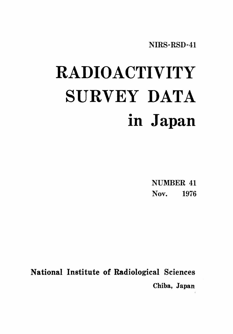# RADIOACTIVITY SURVEY DATA in Japan

NUMBER 41 Nov. 1976

National Institute of Radiological Sciences Chiba, Japan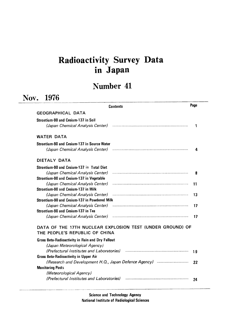# Radioactivity Survey Data inJapan

## Number 41

|                                                                        |                                                           | Page |
|------------------------------------------------------------------------|-----------------------------------------------------------|------|
|                                                                        | <b>Contents</b>                                           |      |
| <b>GEOGRAPHICAL DATA</b>                                               |                                                           |      |
| Strontium-90 and Cesium-137 in Soil                                    |                                                           |      |
| (Japan Chemical Analysis Center)                                       |                                                           | 1    |
| <b>WATER DATA</b>                                                      |                                                           |      |
| Strontium-90 and Cesium-137 in Source Water                            |                                                           |      |
| (Japan Chemical Analysis Center)                                       |                                                           | 4    |
| DIETALY DATA                                                           |                                                           |      |
| Strontium-90 and Cesium-137 in Total Diet                              |                                                           |      |
| (Japan Chemical Analysis Center)                                       |                                                           | 8    |
| Strontium-90 and Cesium-137 in Vegetable                               |                                                           |      |
| (Japan Chemical Analysis Center)                                       |                                                           | 11   |
| Strontium-90 and Cesium-137 in Milk                                    |                                                           |      |
| (Japan Chemical Analysis Center)                                       |                                                           | 13   |
| Strontium-90 and Cesium-137 in Powdered Milk                           |                                                           |      |
| (Japan Chemical Analysis Center)<br>Strontium-90 and Cesium-137 in Tea |                                                           | 17   |
| (Japan Chemical Analysis Center)                                       |                                                           | 17   |
|                                                                        | DATA OF THE 17TH NUCLEAR EXPLOSION TEST (UNDER GROUND) OF |      |
| THE PEOPLE'S REPUBLIC OF CHINA                                         |                                                           |      |
| Gross Beta-Radioactivity in Rain and Dry Fallout                       |                                                           |      |
| (Japan Meteorological Agency)                                          |                                                           |      |
| (Prefectural Institutes and Laboratories)                              |                                                           | 19   |
| <b>Gross Beta-Radioactivity in Upper Air</b>                           |                                                           |      |
|                                                                        |                                                           | 22   |
| <b>Monitoring Posts</b>                                                |                                                           |      |
| (Meteorological Agency)                                                |                                                           |      |
| (Prefectural Institutes and Laboratories)                              |                                                           | 24   |

Science and Technology Agency National Institute of Radiological Sciences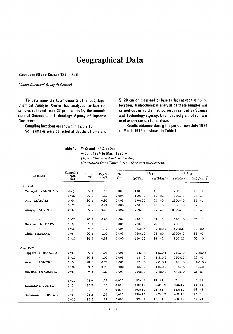## **Geographical Data**

#### Strontium-90 and Cesium-137 in Soil

#### (Japan Chemical Analysis Center)

To determine the total deposits of fallout, Japan Chemical Analysis Center has analyzed surface soil samples collected from 30 prefectures by the commission of Science and Technology Agency of Japanese Government.

Sampling locations are shown in Figure 1.

Soil samples were collected at depths of  $0$ ~5 and

 $5~20$  cm on grassland or bare surface at each sampling location. Radiochemical analysis of these samples was carried out using the method recommended by Science and Technology Agency. One-hundred gram of soil was used as one sample for analysis.

Results obtained during the period from July 1974 to March 1975 are shown in Table 1.

| Table |
|-------|
|-------|

90Sr and 137Cs in Soil

- Jul., 1974 to Mar., 1975 -

(Japan Chemical Analysis Center) (Continued from Table 1, No. 37 of this publication)

| Location              | Sampling                   | Air Soil | Dry Soil    | Sr    |              | $\rm ^{90}Sr$          | 137Cs        |                        |
|-----------------------|----------------------------|----------|-------------|-------|--------------|------------------------|--------------|------------------------|
|                       | Depth<br>(c <sub>m</sub> ) | (%)      | $(kg/\ell)$ | (%)   | (pCi/kg)     | (mCi/km <sup>2</sup> ) | (pCi/kg)     | (mCi/km <sup>2</sup> ) |
| Jul. 1974             |                            |          |             |       |              |                        |              |                        |
| Yamaqata, YAMAGATA    | 0 <sub>5</sub>             | 99.4     | 1.43        | 0.003 | $140 + 10$   | $10 + 0$               | $260 \pm 10$ | $18$ $\pm 1$           |
| $\boldsymbol{\mu}$    | $5 - 20$                   | 99.6     | 1.32        | 0.004 | $100 \pm 0$  | 12 t1                  | $120 \pm 10$ | 14 t                   |
| Mito, IBARAKI         | 0 <sub>5</sub>             | 90.1     | 0.90        | 0.005 | 690±10       | $24 \pm 0$             | $2500 \pm 0$ | $86 \pm 1$             |
| $\boldsymbol{\Omega}$ | $5 - 20$                   | 87.6     | 0.91        | 0.003 | $230 \pm 10$ | $16 + 0$               | 180±10       | 12 t1                  |
| Omiya, SAITAMA        | 0 <sub>5</sub>             | 97,4     | 0.85        | 0.002 | 760±10       | 19<br>±0               | $2100+0$     | $50 + 1$               |
| $\boldsymbol{H}$      | $5 - 20$                   | 96.1     | 0.90        | 0.004 | $240 \pm 10$ | $21 \pm 1$             | 310±10       | $26 + 1$               |
| Karihane, NIIGATA     | $0 - 5$                    | 98.1     | 1.10        | 0.005 | 700±10       | 29<br>±0               | $1200 \pm 0$ | 50<br>$\pm 1$          |
| $\boldsymbol{H}$      | $5 - 20$                   | 98.3     | 1.12        | 0,004 | $73 + 5$     | $9.4 \pm 0.7$          | 870±20       | 110 t0                 |
| Ohda, SHIMANE         | $0 - 5$                    | 99.3     | 1.00        | 0.003 | 730±10       | $18 \pm 0$             | 2300± 0      | 55<br>$\pm 1$          |
| $\boldsymbol{\mu}$    | $5 - 20$                   | 93.4     | 0.89        | 0.003 | 650±10       | 91<br>±2               | 950±20       | $130 + 0$              |
| Aug. 1974             |                            |          |             |       |              |                        |              |                        |
| Sapporo, HOKKAIDO     | $0^{\sim}5$                | 97.5     | 1,05        | 0.006 | $44 + 3$     | $1,5+0,1$              | 210±10       | $7.3 \pm 0.3$          |
| $\boldsymbol{n}$      | $5 - 20$                   | 97.3     | 1.02        | 0.005 | 18±2         | $3.5 \pm 0.5$          | 110±10       | $22 + 1$               |
| Aomori, AOMORI        | $0 - 5$                    | 91.6     | 0.73        | 0.002 | $52 \pm 3$   | $2.0 \pm 0.1$          | 110±10       | $4.0 \pm 0.2$          |
| $\boldsymbol{H}$      | $5 - 20$                   | 91.3     | 0.70        | 0.002 | $13 + 2$     | $1.0 \pm 0.2$          | $84 = 6$     | $6.5 \pm 0.5$          |
| Hayama, FUKUSHIMA     | $0 - 5$                    | 98.5     | 1.22        | 0.001 | 190±10       | $9.1 \pm 0.2$          | 440±10       | $21 \pm 1$             |
| $^{\prime\prime}$     | $5 - 20$                   | 95.9     | 1.22        | 0.007 | $83 + 5$     | $18 + 1$               | $31 \pm 5$   | $7 \pm 1$              |
| Katsushika, TOKYO     | $0 - 5$                    | 99.3     | 1.03        | 0.009 | $140 \pm 10$ | $6.2 \pm 0.2$          | $320 \pm 10$ | $14 \pm 1$             |
| $\boldsymbol{\mu}$    | $5 - 20$                   | 99.1     | 1.03        | 0.008 | $190 \pm 10$ | $25 + 1$               | $330 \pm 10$ | $44 \pm 1$             |
| Kanazawa, ISHIKAWA    | 0 <sub>5</sub>             | 98.2     | 1.24        | 0.002 | 130±10       | $6.2{\pm}0.3$          | $260 \pm 10$ | 13<br>±0               |
| $\boldsymbol{\theta}$ | $5 - 20$                   | 98.3     | 1.24        | 0.003 | $92 \pm 4$   | $12 \pm 1$             | $250 \pm 10$ | $32 + 1$               |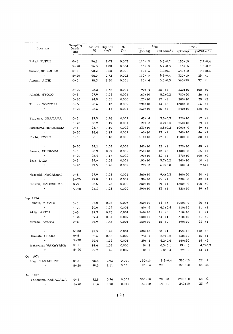|                            | Sampling      |      | Air Soil Dry Soil | $90$ Sr<br>Sr |              |                        | $137$ Cs     |                       |  |  |
|----------------------------|---------------|------|-------------------|---------------|--------------|------------------------|--------------|-----------------------|--|--|
| Location                   | Depth<br>(cm) | (%)  | $(kg/\ell)$       | (%)           | (pCi/kg)     | (mCi/km <sup>2</sup> ) | (pCi/kg)     | (mC/km <sup>2</sup> ) |  |  |
| Fukui, FUKUI               | $0 - 5$       | 96.8 | 1.03              | 0.003         | $110+0$      | $5.6 \pm 0.2$          | 150±10       | $7.7 - 0.4$           |  |  |
| $\boldsymbol{H}$           | $5 - 20$      | 96.3 | 1.00              | 0.004         | 56:3         | $6.2 \pm 0.3$          | 16:6         | $1.8 \pm 0.7$         |  |  |
| Susono, SHIZUOKA           | $0 - 5$       | 98.2 | 0.68              | 0.001         | $50+3$       | $1.4 \pm 0.1$          | $340 \pm 10$ | $9.6 \pm 0.3$         |  |  |
| $\pmb{\cdot}$              | $5 - 20$      | 96.0 | 0.72              | 0.002         | 110±0        | $9.5 \pm 0.4$          | $320 \pm 10$ | $29 + 1$              |  |  |
| Atsumi, AICHI              | $0 - 5$       | 98.3 | 1.30              | 0.001         | $88 \pm 4$   | $5.8 \pm 0.3$          | 560±20       | $37 + 1$              |  |  |
| $\pmb{\eta}$               | $5 - 20$      | 98.2 | 1.32              | 0.001         | $90 \pm 4$   | $28 \pm 1$             | $330 \pm 10$ | $100 + 0$             |  |  |
| Akashi, HYOGO              | $0 - 5$       | 97.9 | 1.04              | 0.001         | $160 \pm 10$ | $5.2 \pm 0.2$          | 780±20       | $26 \pm 1$            |  |  |
| $\pmb{\mu}$                | $5 - 20$      | 94.9 | 1.05              | 0.000         | $120 \pm 10$ | $17 \pm 1$             | $280 \pm 10$ | $39 + 2$              |  |  |
| Tottori, TOTTORI           | 0~5           | 98.6 | 1.13              | 0.002         | $290 \pm 10$ | $14 \pm 0$             | $1300 \pm 0$ | 66<br>$\pm 1$         |  |  |
| $\pmb{\mu}$                | $5 - 20$      | 98.3 | 1.14              | 0.001         | $230 \pm 10$ | 45 $\pm 1$             | 640±10       | $130 + 0$             |  |  |
| Tsuyama, OKAYAMA           | $0 - 5$       | 97.5 | 1.26              | 0.002         | $45 + 4$     | $3.5 \pm 0.3$          | $220 \pm 10$ | $17 \pm 1$            |  |  |
| $\bar{H}$                  | $5 - 20$      | 98.2 | 1.19              | 0.001         | $27 + 3$     | $3.2 \pm 0.3$          | $250 \pm 10$ | 29<br>$\pm 1$         |  |  |
| Hiroshima, HIROSHIMA       | $0 - 5$       | 98.7 | 1.10              | 0.002         | $230 \pm 10$ | $8.8 \pm 0.2$          | $1000t$ 0    | $39 \pm 1$            |  |  |
| $\boldsymbol{u}$           | $5 - 20$      | 98.4 | 1.19              | 0.002         | 160±10       | $23 + 1$               | 340±10       | 46<br>±2              |  |  |
| Kochi, KOCHI               | $0 - 5$       | 98.1 | 1.18              | 0.005         | 510±10       | $27 + 0$               | 1500± 0      | 80 $±1$               |  |  |
| $\boldsymbol{n}$           | $5 - 20$      | 99.2 | 1.04              | 0.004         | $240 \pm 10$ | $32 \pm 1$             | $370 \pm 10$ | $49 \pm 2$            |  |  |
| Sawara, FUKUOKA            | $0 - 5$       | 98.9 | 0.99              | 0.002         | $350 \pm 10$ | $13 + 0$               | $1400 \pm 0$ | 55 $\pm 1$            |  |  |
| $\boldsymbol{\mathcal{H}}$ | $5 - 20$      | 98.4 | 1.17              | 0.002         | $190 \pm 10$ | $53 + 1$               | $370 \pm 10$ | $100 + 0$             |  |  |
| Saga, SAGA                 | $0 \sim 5$    | 99.0 | 1.08              | 0.001         | 190±10       | $5.7 \pm 0.2$          | 340±10       | $10 \pm 1$            |  |  |
| $\boldsymbol{\mathcal{U}}$ | $5 - 20$      | 99.5 | 1.26              | 0.002         | $27 \pm 3$   | $6.9 \pm 0.8$          | $30 + 4$     | $7.6 \pm 1.1$         |  |  |
| Naqasaki, NAGASAKI         | $0 - 5$       | 97.9 | 1.08              | 0.001         | $260 \pm 10$ | $9.4 \pm 0.3$          | $860 \pm 20$ | $30 + 1$              |  |  |
| $\boldsymbol{H}$           | $5 - 20$      | 97.8 | 1.11              | 0.001         | $190 \pm 10$ | $25 \pm 1$             | $330+0$      | $43 \pm 1$            |  |  |
| Ibusuki, KAGOSHIMA         | $0 - 5$       | 95.5 | 1.25              | 0.010         | 380±10       | 29<br>$\pm 1$          | $1300 \pm 0$ | 100 t0                |  |  |
| $\pmb{r}$                  | $5 - 20$      | 93.3 | 1.25              | 0.010         | $290 \pm 10$ | $53 + 1$               | $320 \pm 10$ | 59 $±2$               |  |  |
| Sep. 1974                  |               |      |                   |               |              |                        |              |                       |  |  |
| Shibata, MIYAGI            | $0 - 5$       | 95.0 | 0.98              | 0.003         | $350 \pm 10$ | $14 \pm 3$             | $1000 \pm 0$ | $40 \pm 1$            |  |  |
| $\boldsymbol{\eta}$        | $5 - 20$      | 94.0 | 1.07              | 0.001         | $60 \pm 4$   | $6.1 \pm 0.4$          | 110:10       | 11 t                  |  |  |
| Akita, AKITA               | $0 - 5$       | 97.3 | 0.76              | 0.001         | $260 \pm 10$ | $11 + 0$               | 510±10       | $21 \pm i$            |  |  |
| $\pmb{\cdot}$              | $5 - 20$      | 97.4 | 0.84              | 0.002         | $200 \pm 10$ | $34 \pm 1$             | $310 \pm 10$ | $51 + 2$              |  |  |
| Miyazu, KYOTO              | $0 \sim 5$    | 98.9 | 1.45              | 0.001         | $250 \pm 10$ | $15 + 0$               | 390±10       | $23 \pm 1$            |  |  |
| $\boldsymbol{\mu}$ .       | $5 - 20$      | 99.5 | 1.49              | 0.001         | $200 \pm 10$ | $50 + 1$               | $450 \pm 10$ | $110 + 0$             |  |  |
| Hirakata, OSAKA            | $0 - 5$       | 98.6 | 0.88              | 0.002         | $74 \pm 4$   | $2.7 \pm 0.2$          | $430 \pm 10$ | $16 + 1$              |  |  |
| $\boldsymbol{H}$ .         | $5 - 20$      | 99.6 | 1.19              | 0.001         | $29 \pm 3$   | $6.2 \pm 0.6$          | 160±10       | $35 + 2$              |  |  |
| Wakayama, WAKAYAMA         | $0 - 5$       | 99.6 | 1.52              | 0.003         | 9±2          | $0.5 \pm 0.1$          | $79 \pm 6$   | $4.7 \pm 0.3$         |  |  |
| $\boldsymbol{H}$           | $5 - 20$      | 99.7 | 1.49              | 0.002         | 10±2         | $1.8 + 0.4$            | $77 \pm 5$   | $14 \pm 1$            |  |  |
| Oct. 1974                  |               |      |                   |               |              |                        |              |                       |  |  |
| Haqi, YAMAGUCHI            | $0 - 5$       | 98.3 | 0.93              | 0.001         | 130:10       | $8.8 \pm 0.4$          | 380±10       | $27 \pm 1$            |  |  |
| $\boldsymbol{\mu}$         | $5 - 20$      | 98.5 | 1.11              | 0.001         | $93 \pm 4$   | $29 \pm 1$             | 270±10       | $85 \pm 3$            |  |  |
| Jan. 1975                  |               |      |                   |               |              |                        |              |                       |  |  |
| Yokohama, KANAGAWA         | $0 - 5$       | 92.8 | 0.76              | 0.005         | 580±10       | $20 \pm 0$             | $1700 \pm 0$ | 58 ±l                 |  |  |
| $\boldsymbol{\mu}$         | $5 - 20$      | 91.4 | 0.70              | 0.011         | $150 \pm 10$ | $14 \pm 1$             | 240±10       | 23 ±1                 |  |  |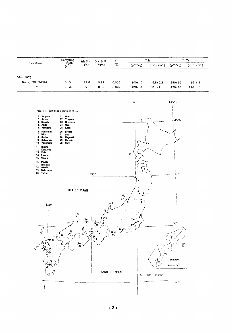| Location          | Sampling                   | Air Soil | Dry Soil<br>$(kg/\ell)$ | Sr<br>(%) |          | $90$ Sr                | $137$ Cs     |                        |  |
|-------------------|----------------------------|----------|-------------------------|-----------|----------|------------------------|--------------|------------------------|--|
|                   | Depth<br>(c <sub>m</sub> ) | (%)      |                         |           | (pCi/kq) | (mCi/km <sup>2</sup> ) | (pCi/kg)     | (mCi/km <sup>2</sup> ) |  |
| Mar. 1975         |                            |          |                         |           |          |                        |              |                        |  |
| Naha, OKINAWA     | $0 - 5$                    | 97.8     | 0.97                    | 0.017     | 100±0    | $4.8 \pm 0.2$          | $280 \pm 10$ | $14 \pm 1$             |  |
| $^{\prime\prime}$ | $5 - 20$                   | 97.1     | 0.89                    | 0.022     | $130+0$  | $33 \pm 1$             | $430 \pm 10$ | $110 \pm 0$            |  |

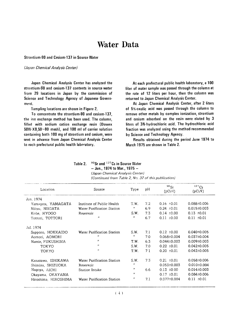## **Water Data**

#### Strontium-90 and Cesium-137 in Source Water

#### (Japan Chemical Analysis Center)

Japan Chemical Analysis Center has analyzed the strontium-90 and cesium-137 contents in source water from 29 locations in Japan by the commission of Science and Technology Agency of Japanese Government.

Sampling locations are shown in Figure 2.

To concentrate the strontium-90 and cesium-137. the ion exchange method has been used. The column, filled with sodium cation exchange resin (Dowex  $50W \cdot X8.50 \sim 80$  mesh), and 100 ml of carrier solution containing both 100 mg of strontium and cesium, were sent in advance from Japan Chemical Analysis Center to each prefectural public health laboratory,

At each prefectural public health laboratory, a 100 liter of water sample was passed through the column at the rate of 12 liters per hour, then the column was returned to Japan Chemical Analysis Center.

At Japan Chemical Analysis Center, after 2 liters of 5%-oxalic acid was passed through the column to remove other metals by complex ionization, strontium and cesium adsorbed on the resin were eluted by 3 liters of 3N-hydrochloric acid. The hydrochloric acid fraction was analyzed using the method recommended by Science and Technology Agency.

Results obtained during the period June 1974 to March 1975 are shown in Table 2.

<sup>90</sup>Sr and <sup>137</sup>Cs in Source Water Table 2.  $-$  Jun., 1974 to Mar., 1975  $-$ (Japan Chemical Analysis Center)

| Location             | Source                     | Type                | pH  | $90$ Sr<br>$(pCi/\ell)$ | $^{137}Cs$<br>$(pCi/\ell)$ |
|----------------------|----------------------------|---------------------|-----|-------------------------|----------------------------|
| Jun. 1974            |                            |                     |     |                         |                            |
| Yamagata, YAMAGATA   | Institute of Public Health | T.W.                | 7.2 | $0.16 \pm 0.01$         | $0.088 \pm 0.006$          |
| Niitsu, NIIGATA      | Water Purification Station | $^{\prime\prime}$   | 6.9 | $0.24 + 0.01$           | $0.015 \pm 0.003$          |
| Kobe, HYOGO          | Reservoir                  | S.W.                | 7.3 | $0.14 \pm 0.00$         | $0.13 \pm 0.01$            |
| Tottori, TOTTORI     | $\boldsymbol{H}$           | ,,                  | 6.7 | $0.11 \pm 0.00$         | $0.11 \pm 0.01$            |
| Jul. 1974            |                            |                     |     |                         |                            |
| Sapporo, HOKKAIDO    | Water Purification Station | S.W.                | 7.1 | $0.12 \pm 0.00$         | $0.040 \pm 0.005$          |
| Aomori, AOMORI       | ,,                         | ,,                  | 7.0 | $0.068 \pm 0.004$       | $0.037 \pm 0.004$          |
| Namie, FUKUSHIMA     | $\boldsymbol{\mu}$         | T.W.                | 6.3 | $0.044 \pm 0.003$       | $0.009 \pm 0.003$          |
| TOKYO                | $^{\prime\prime}$          | S.W.                | 7.0 | $0.22 \pm 0.01$         | $0.042 \pm 0.005$          |
| <b>TOKYO</b>         | $^{\prime\prime}$          | T.W.                | 71  | $0.20 \pm 0.01$         | $0.042 \pm 0.005$          |
| Kanazawa, ISHIKAWA   | Water Purification Station | S.W.                | 7.3 | $0.21 \pm 0.01$         | $0.058 \pm 0.006$          |
| Shimizu, SHIZUOKA    | Reservoir                  | $^{\prime\prime}$   |     | $0.053 \pm 0.003$       | $0.010 \pm 0.004$          |
| Nagoya, AICHI        | Station Intake             | $\pmb{\mathcal{H}}$ | 6.6 | $0.13 \pm 0.00$         | $0.014 \pm 0.003$          |
| Okayama, OKAYAMA     |                            | $^{\prime\prime}$   |     | $0.17 \pm 0.01$         | $0.084 \pm 0.006$          |
| Hiroshima, HIROSHIMA | Water Purification Station | ,,                  | 7.1 | $0.077 \pm 0.004$       | $0.11 \pm 0.01$            |

(Continued from Table 2, No. 37 of this publication)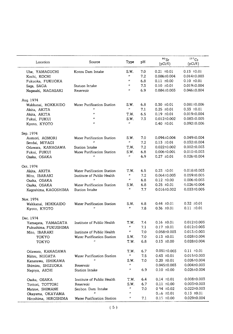| Location             | Source                            | Type                | рH  | $^{90}\rm{Sr}$<br>$(pCi/\ell)$ | 137C <sub>S</sub><br>$(pCi/\ell)$ |
|----------------------|-----------------------------------|---------------------|-----|--------------------------------|-----------------------------------|
| Ube, YAMAGUCHI       | Kotou Dam Intake                  | S.W.                | 7.0 | $0.21 \pm 0.01$                | $0.13 \pm 0.01$                   |
| Kochi, KOCHI         |                                   | $\boldsymbol{H}$    | 7.2 | 0.086±0.004                    | $0.014 \pm 0.003$                 |
| Fukuoka, FUKUOKA     |                                   | Ħ                   | 6.8 | $0.11 \pm 0.00$                | $0.10 \pm 0.01$                   |
| Saga, SAGA           | Station Intake                    | $\pmb{\eta}$        | 7,3 | $0.10 \pm 0.01$                | 0.019±0.004                       |
| Nagasaki, NAGASAKI   | Reservoir                         | $\pmb{\mathcal{H}}$ | 6.9 | 0.084±0.003                    | 0.046±0.004                       |
| Aug. 1974            |                                   |                     |     |                                |                                   |
| Wakkanai, HOKKAIDO   | Water Purification Station        | S.W.                | 6.8 | $0.30 \pm 0.01$                | $0.081 \pm 0.006$                 |
| Akita, AKITA         | n                                 | $\boldsymbol{\mu}$  | 7.1 | $0.25 \pm 0.01$                | $0.33 \pm 0.01$                   |
| Akita, AKITA         | 11                                | T.W.                | 6.5 | $0.19 \pm 0.01$                | 0.019±0.004                       |
| Fukui, FUKUI         | n                                 | S.W.                | 7.3 | $0.012 \pm 0.002$              | $0.083 \pm 0.005$                 |
| Kyoto, KYOTO         | n                                 | $\boldsymbol{H}$    |     | $0.40 \pm 0.01$                | 0.092±0.006                       |
| Sep. 1974            |                                   |                     |     |                                |                                   |
| Aomori, AOMORI       | Water Purification Station        | S.W.                | 7.0 | 0.094±0.004                    | $0.049 \pm 0.004$                 |
| Sendai, MIYAGI       |                                   | $\boldsymbol{n}$    | 7.2 | $0.13 \pm 0.01$                | $0.032 \pm 0.004$                 |
| Odawara, KANAGAWA    | Station Intake                    | T.W.                | 7.2 | $0.022 \pm 0.002$              | $0.002 \pm 0.003$                 |
| Fukui, FUKUI         | Water Purification Station        | S.W.                | 6.8 | $0.006 \pm 0.001$              | $0.010 \pm 0.003$                 |
| Osaka, OSAKA         | $\boldsymbol{H}$                  | n                   | 6.9 | $0.27 \pm 0.01$                | $0.026 \pm 0.004$                 |
| Oct. 1974            |                                   |                     |     |                                |                                   |
| Akita, AKITA         | <b>Water Purification Station</b> | T.W.                | 6.5 | $0.23 \pm 0.01$                | 0.018±0.003                       |
| Mito, IBARAKI        | Institute of Public Health        | Ħ                   | 7.2 | $0.064 \pm 0.003$              | $0.059 \pm 0.005$                 |
| Osaka, OSAKA         | $\boldsymbol{H}$                  | Ħ                   | 6.8 | $0.12 \pm 0.00$                | $0.006 \pm 0.003$                 |
| Osaka, OSAKA         | Water Purification Station        | S.W.                | 6.8 | $0.25 \pm 0.01$                | $0.026 \pm 0.004$                 |
| Kagoshima, KAGOSHIMA | Station Intake                    | 11                  | 7.7 | $0.016 \pm 0.002$              | $0.033 \pm 0.005$                 |
| Nov. 1974            |                                   |                     |     |                                |                                   |
| Wakkanai, HOKKAIDO   | Water Purification Station        | S.W.                | 6.8 | $0.44 \pm 0.01$                | $0.32 \pm 0.01$                   |
| Kyoto, KYOTO         | $^{\prime\prime}$                 | n                   | 7.8 | $0.36 \pm 0.01$                | $0.11 \pm 0.01$                   |
| Dec. 1974            |                                   |                     |     |                                |                                   |
| Yamagata, YAMAGATA   | Institute of Public Health        | T.W.                | 7.4 | $0.16 \pm 0.01$                | $0.012 \pm 0.003$                 |
| Fukushima, FUKUSHIMA |                                   | n                   | 7.1 | $0.17 \pm 0.01$                | $0.012 \pm 0.003$                 |
| Mito,IBARAKI         | Institute of Public Health        | $^{\prime\prime}$   | 7.0 | $0.058 \pm 0.003$              | $0.013 \pm 0.003$                 |
| TOKYO                | <b>Water Purification Station</b> | S.W.                | 7.0 | $0.13 \pm 0.01$                | 0.028±0.004                       |
| TOKYO                | $\boldsymbol{\mathcal{H}}$        | T.W.                | 6.8 | $0.13 \pm 0.00$                | 0.028±0.004                       |
| Odawara, KANAGAWA    |                                   | T.W.                | 6.7 | $0.051 \pm 0.003$              | $0.11 \pm 0.01$                   |
| Niitsu, NIIGATA      | Water Purification Station        | $\boldsymbol{\eta}$ | 7.5 | $0.43 \pm 0.01$                | 0.015±0.003                       |
| Kanazawa, ISHIKAWA   | $\boldsymbol{\prime}$             | S.W.                | 7.0 | $0.20 \pm 0.01$                | $0.026 \pm 0.004$                 |
| Shimizu, SHIZUOKA    | Reservoir                         | $\boldsymbol{\mu}$  |     | 0.045±0.003                    | $0.004 \pm 0.003$                 |
| Nagoya, AICHI        | Station Intake                    | Ħ                   | 6.9 | $0.10 \pm 0.00$                | $0.026 \pm 0.004$                 |
| Osaka, OSAKA         | Institute of Public Health        | T.W.                | 6.4 | $0.14 \pm 0.01$                | 0.008±0.003                       |
| Tottori, TOTTORI     | Reservoir                         | S.W.                | 6.7 | $0.11 \pm 0.00$                | $0.003 \pm 0.003$                 |
| Matsue, SHIMANE      | Senbon Dam Intake                 | $\boldsymbol{H}$    | 7.0 | $0.54 + 0.02$                  | $0.022 \pm 0.003$                 |
| Okayama, OKAYAMA     | $^{\prime\prime}$                 | n                   |     | $0.16 \pm 0.01$                | $0.13 \pm 0.01$                   |
| Hiroshima, HIROSHIMA | Water Purification Station        | $\boldsymbol{\eta}$ | 7.1 | $0.15 \pm 0.00$                | 0.029±0.004                       |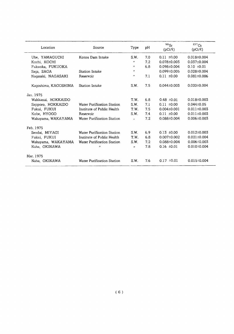| Location             | Source                     | Type               | pH  | 90Sr<br>$(pCi/\ell)$ | $137$ Cs<br>$pCi(\ell)$ |
|----------------------|----------------------------|--------------------|-----|----------------------|-------------------------|
| Ube, YAMAGUCHI       | Kotou Dam Intake           | S.W.               | 7.0 | $0.11 \pm 0.00$      | $0.018 \pm 0.004$       |
| Kochi, KOCHI         |                            | $\boldsymbol{H}$   | 7.2 | $0.078 \pm 0.003$    | $0.037 \pm 0.004$       |
| Fukuoka, FUKUOKA     |                            | $^{\prime\prime}$  | 6.8 | $0.098 \pm 0.004$    | $0.10 \pm 0.01$         |
| Saga, SAGA           | Station Intake             | $^{\prime\prime}$  |     | $0.099 \pm 0.005$    | $0.028 \pm 0.004$       |
| Nagasaki, NAGASAKI   | Reservoir                  | $^{\prime\prime}$  | 7.1 | $0.11 \pm 0.00$      | $0.081 \pm 0.006$       |
| Kaqoshima, KAGOSHIMA | Station Intake             | S.W.               | 7.5 | $0.044 \pm 0.003$    | $0.020 \pm 0.004$       |
| Jan. 1975            |                            |                    |     |                      |                         |
| Wakkanai, HOKKAIDO   |                            | T.W.               | 6.8 | $0.48 \pm 0.01$      | 0.018±0.003             |
| Sapporo, HOKKAIDO    | Water Purification Station | S.W.               | 7.1 | $0.11 \pm 0.00$      | $0.044 \pm 0.05$        |
| Fukui, FUKUI         | Institute of Public Health | T.W.               | 7.5 | $0.004\pm0.001$      | $0.011 \pm 0.003$       |
| Kobe, HYOGO          | Reservoir                  | S.W.               | 7.4 | $0.11 \pm 0.00$      | $0.011 \pm 0.003$       |
| Wakayama, WAKAYAMA   | Water Purification Station | $\boldsymbol{H}$   | 7.2 | $0.088 \pm 0.004$    | $0.006 \pm 0.003$       |
| Feb. 1975            |                            |                    |     |                      |                         |
| Sendai, MIYAGI       | Water Purification Station | S.W.               | 6.9 | $0.13 \pm 0.00$      | $0.012 \pm 0.003$       |
| Fukui, FUKUI         | Institute of Public Health | T.W.               | 6.8 | $0.007 \pm 0.002$    | $0.021 \pm 0.004$       |
| Wakayama, WAKAYAMA   | Water Purification Station | S.W.               | 7.2 | $0.088 \pm 0.004$    | $0.006 \pm 0.003$       |
| Naha. OKINAWA        | n                          | $\boldsymbol{\mu}$ | 7.8 | $0.16 \pm 0.01$      | $0.010 \pm 0.004$       |
| Mar. 1975            |                            |                    |     |                      |                         |
| Naha, OKINAWA        | Water Purification Station | S.W.               | 7.6 | $0.17 \pm 0.01$      | $0.015 \pm 0.004$       |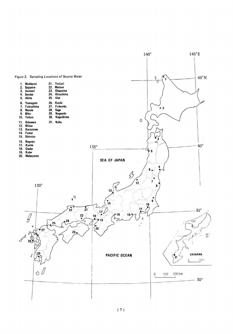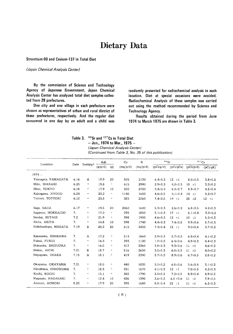## Dietary Data

Strontium-90 and Cesium-137 in Total Diet

(Japan Chemical Analysis Center)

By the commission of Science and Technology Agency of Japanese Government, Japan Chemical Analysis Center has analyzed total diet samples collected from 29 prefectures.

One city and one village in each prefecture were chosen as representatives of urban and rural district of these prefectures, respectively. And the regular diet consumed in one day by an adult and a child was randomly presented for radiochemical analysis in each location. Diet at special occasions were avoided. Radiochemical Analysis of these samples was carried out using the method recommended by Science and **Technology Agency.** 

Results obtained during the period from June 1974 to March 1975 are shown in Table 3.

Table 3. <sup>90</sup>Sr and <sup>137</sup>Cs in Total Diet - Jun., 1974 to Mar., 1975 -(Japan Chemical Analysis Center) (Continued from Table 3, No. 35 of this publication)

| Location              |      |                       | Ash     |                     | Ca       | ĸ        | $90$ Sr       |               | $137$ Cs      |               |
|-----------------------|------|-----------------------|---------|---------------------|----------|----------|---------------|---------------|---------------|---------------|
|                       | Date | Sorting*              | (g/p/d) | (q)                 | (mg/p/d) | (mg/p/d) | (pCi/p/d)     | (pCi/qCa)     | (pCi/p/d)     | (pCi/qK)      |
| $-1974-$              |      |                       |         |                     |          |          |               |               |               |               |
| Yamaqata, YAMAGATA    | 6.16 | A                     | 19.9    | 20                  | 505      | 2130     | $6.4 \pm 0.3$ | $12 \pm 1$    | $8.0 \pm 0.5$ | $3.8 \pm 0.2$ |
| Mito, IBARAKI         | 6.25 | $^{\prime\prime}$     | 19.8    | $\boldsymbol{n}$    | 615      | 2990     | $2.9 \pm 0.3$ | $4.8 \pm 0.5$ | 10 t 1        | $3.3 \pm 0.2$ |
| Hino, TOKYO           | 6.18 | $\boldsymbol{H}$      | 17.9    | 10                  | 500      | 2000     | $3.4 \pm 0.4$ | $6.8 \pm 0.7$ | $8.9 \pm 0.7$ | $4.5 \pm 0.4$ |
| Kakogawa, HYOGO       | 6.24 | $^{\prime\prime}$     | 23.2    | $\boldsymbol{\mu}$  | 1140     | 1650     | $4,6 \pm 0.5$ | $4.1 \pm 0.4$ | $14 \pm 1$    | $8.2 \pm 0.7$ |
| Tottori, TOTTORI      | 6.12 | $\boldsymbol{H}$      | 23.8    | $\boldsymbol{\eta}$ | 385      | 2260     | $7.4 \pm 0.5$ | $19 \pm 1$    | $28 \pm 2$    | $12 \pm 1$    |
| Saga, SAGA            | 6.17 | $\boldsymbol{\theta}$ | 19.5    | 20                  | 2060     | 1600     | $5.3 \pm 0.3$ | $2.6 \pm 0.2$ | $6.8 \pm 0.5$ | $4.2 \pm 0.3$ |
| Sapporo, HOKKAIDO     | 7.   | $\boldsymbol{\eta}$   | 17.0    | $\pmb{\eta}$        | 295      | 1850     | $5.1 \pm 0.3$ | $17 + 1$      | $6.1 \pm 0.4$ | $3.3 \pm 0.2$ |
| Sendai, MIYAGI        | 7.2  | $^{\prime\prime}$     | 21.9    | $\pmb{\eta}$        | 398      | 1900     | $4.6 \pm 0.3$ | $12 \pm 1$    | $10 + 1$      | $5.3 \pm 0.3$ |
| Akita, AKITA          | 7.   | $^{\prime\prime}$     | 14.8    | 10                  | 598      | 1740     | $4.4 \pm 0.3$ | $7.4 \pm 0.5$ | $9.9 \pm 0.6$ | $5.7 \pm 0.3$ |
| Nishikanbara, NIIGATA | 7.19 | $\, {\bf B}$          | 20.2    | 20                  | 615      | 2450     | $7.3 \pm 0.4$ | $12 + 1$      | $9.0 \pm 0.6$ | $3.7 \pm 0.2$ |
| Kanazawa, ISHIKAWA    | 7.   | Α                     | 17.2    | $\pmb{\eta}$        | 513      | 1660     | $2.9 \pm 0.3$ | $5.7 \pm 0.5$ | $6.8 \pm 0.4$ | $4.1 \pm 0.2$ |
| Fukui, FUKUI          | 7.   | $^{\prime\prime}$     | 16.3    | $\boldsymbol{\eta}$ | 293      | 1120     | $1.9 \pm 0.2$ | $6.4 \pm 0.6$ | $4.9 \pm 0.3$ | $4.4 \pm 0.3$ |
| Shizuoka, SHIZUOKA    | 7.   | $\boldsymbol{\mu}$    | 16.0    | $\boldsymbol{\mu}$  | 413      | 2360     | $3.8 \pm 0.3$ | $9.3 \pm 0.6$ | 11 t          | $4.6 \pm 0.2$ |
| Nishio, AICHI         | 7.21 | в                     | 18.7    | $\boldsymbol{n}$    | 516      | 2650     | $3.5 \pm 0.3$ | $6.8 \pm 0.5$ | 11 t          | $4.0 \pm 0.2$ |
| Neyaqawa, OSAKA       | 7.15 | A                     | 18.1    | $\boldsymbol{H}$    | 419      | 2390     | $3.7 \pm 0.3$ | $8.9 \pm 0.6$ | $6.7 \pm 0.5$ | $2.8 \pm 0.2$ |
| Okayama, OKAYAMA      | 7.21 | $^{\prime\prime}$     | 18.0    | $\boldsymbol{n}$    | 440      | 1830     | $3.0 \pm 0.2$ | $6.8 \pm 0.6$ | $5.6 \pm 0.4$ | $3.1 \pm 0.2$ |
| Hiroshima, HIROSHIMA  | 7.   | n.                    | 18.3    | $\boldsymbol{n}$    | 331      | 1670     | $4.1 \pm 0.3$ | $12 \pm 1$    | $7.0 \pm 0.5$ | $4.2 \pm 0.3$ |
| Kochi, KOCHI          | 7.   | $\mathbf{r}$          | 15.1    | $\boldsymbol{H}$    | 482      | 1790     | $3.5 \pm 0.2$ | $7.2 \pm 0.5$ | $8.9 \pm 0.4$ | $4.9 \pm 0.2$ |
| Naqasaki, NAGASAKI    | 7.   | $\mathbf{H}$          | 12.4    | 10                  | 436      | 1390     | $2.6 \pm 0.2$ | $6.0 \pm 0.6$ | $11 \pm 1$    | $7.9 \pm 0.5$ |
| Aomori, AOMORI        | 8.23 | $\boldsymbol{\mu}$    | 17.9    | 20                  | 395      | 1680     | $8.8 \pm 0.4$ | $22 \pm 1$    | $11 \pm 1$    | $6.3 \pm 0.3$ |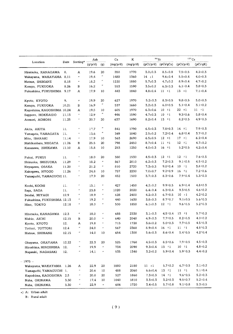|                            |       |                             | Ash     |                            | Ca       | K        | $90$ Sr       |                         | $137$ Cs                       |                                |
|----------------------------|-------|-----------------------------|---------|----------------------------|----------|----------|---------------|-------------------------|--------------------------------|--------------------------------|
| Location                   | Date  | Sorting* -                  | (g/p/d) | (g)                        | (mg/p/d) | (mg/p/d) |               | $(pCi/p/d)$ $(pCi/gCa)$ | (pCi/p/d)                      | (pCi/gK)                       |
|                            |       |                             |         |                            |          |          |               |                         |                                |                                |
| Hiratsuka, KANAGAWA        | 8.    | Α                           | 19.6    | 20                         | 350      | 1770     | $3.0{\pm}0.3$ | $8.5 \pm 0.8$           | $7.5 \pm 0.5$                  | $4.2 \pm 0.3$                  |
| Wakayama, WAKAYAMA 8.11    |       | $\pmb{\varepsilon}$         | 19.4    | $^{\prime\prime}$          | 1480     | 1360     | 14 $\pm 1$    | $9.6 \pm 0.4$           | $5.5 \pm 0.4$                  | $4.0 \pm 0.3$                  |
| Matsue, SHIMANE            | 8.18  | $\boldsymbol{\mu}$          | 18.2    | $^{\prime\prime}$          | 1220     | 1880     | $5.7 + 0.3$   | $4.7 \pm 0.2$           | $8.9 \pm 0.4$                  | $4.7 \pm 0.2$                  |
| Kasuya, FUKUOKA            | 8.26  | в                           | 16.2    | $\boldsymbol{H}$           | 553      | 1590     | $3.5 \pm 0.2$ | $6.3 \pm 0.3$           | $6.1 \pm 0.4$                  | $3.8 \pm 0.3$                  |
| Fukushima, FUKUSHIMA 9.17  |       | Α                           | 17.9    | 10                         | 443      | 1840     | $4.8 + 0.4$   | $11 \pm 1$              | $13 \pm 1$                     | $7.1 \pm 0.4$                  |
|                            |       |                             |         |                            |          |          |               |                         |                                |                                |
| Kyoto, KYOTO               | 9.    | $\boldsymbol{n}$            | 19.9    | 20                         | 627      | 1970     | $5.2 \pm 0.3$ | $8.3 \pm 0.5$           | $9.8 \pm 0.5$                  | 5,0:0.3                        |
| Kasuya, FUKUOKA            | 10.21 | в                           | 16.9    | $\boldsymbol{\theta}$      | 537      | 1660     | $3.2 \pm 0.3$ | $6.0 \pm 0.5$           | $5.1 \pm 0.4$                  | $3.1 \pm 0.2$                  |
| Kagoshima, KAGOSHIMA 10.24 |       | Α                           | 19.5    | 10                         | 605      | 1970     | $6.3{\pm}0.6$ | $10 \pm 1$              | $22 \pm 1$                     | $11 \pm 1$                     |
| Sapporo, HOKKAIDO          | 11.13 | $\pmb{\mu}$                 | 12.9    | $\boldsymbol{\mu}$         | 446      | 1590     | $4.7 \pm 0.3$ | $10 + 1$                | $9.3 \pm 0.6$                  | $5.8 \pm 0.4$                  |
| Aomori, AOMORI             | 11.25 | $\pmb{\mu}$                 | 20.7    | 20                         | 637      | 1690     | $8.2 \pm 0.4$ | $13 \pm 1$              | $8.2 \pm 0.5$                  | $4.9 \pm 0.3$                  |
|                            |       |                             |         |                            |          |          |               |                         |                                |                                |
| Akita, AKITA               | 11.   | $\boldsymbol{\mu}$          | 17.7    | $\pmb{\cdot}$              | 841      | 1790     | $6.5 \pm 0.3$ | $7.8 \pm 0.3$           | $14 \pm 1$                     | $7.9 \pm 0.3$                  |
| Yamagata, YAMAGATA         | 11.   | $\boldsymbol{\theta}$       | 13.6    | $^{\prime\prime}$          | 349      | 1840     | $2.5 \pm 0.2$ | $7.2 \pm 0.4$           | $6.8 + 0.4$                    | $3.7 \pm 0.2$                  |
| Mito, IBARAKI              | 11.14 | $\boldsymbol{\theta}$       | 17.9    | 10                         | 563      | 2690     | $6.5 \pm 0.5$ | $12 + 1$                | $17 + 1$                       | $6.2 \pm 0.4$                  |
| Nishikanbara, NIIGATA      | 11.26 | в                           | 25.5    | 20                         | 798      | 2450     | $8.7 \pm 0.4$ | $11 \pm 1$              | $12 \pm 1$                     | $4.7 \pm 0.2$                  |
| Kanazawa, ISHIKAWA         | 11.10 | Α                           | 15.8    | 10                         | 253      | 1250     | $4.0{\pm}0.3$ | $16 \pm 1$              | $5.2 \pm 0.5$                  | $4.2 \pm 0.4$                  |
|                            |       |                             |         |                            |          |          |               |                         |                                |                                |
| Fukui, FUKUI               | 11.   | $\boldsymbol{\mu}$          | 18.0    | 20                         | 380      | 1530     | $4.5 \pm 0.3$ | $12 \pm 1$              | $12 \pm 1$                     | $7.6 \pm 0.3$                  |
| Shizuoka, SHIZUOKA         | 11.29 | $\boldsymbol{\mu}$          | 18.2    | $\boldsymbol{\theta}$      | 867      | 2010     | $6.2 \pm 0.3$ | $7.2 \pm 0.3$           | $9.1 \pm 0.5$                  | $4.5 \pm 0.2$                  |
| Neyagawa, OSAKA            | 11.20 | $\boldsymbol{\mu}$          | 21,2    | $\pmb{\pi}$                | 810      | 2720     | $7.3 \pm 0.3$ | $9.0 \pm 0.4$           | $10 - 1$                       | $3.8 \pm 0.2$                  |
| Kakogawa, HYOGO            | 11.26 | $\boldsymbol{H}$            | 24.8    | 10                         | 757      | 2230     | $7.0 \pm 0.7$ | $9.2 \pm 0.9$           | $16 \pm 1$                     | $7.2 \pm 0.6$                  |
| Yamaquchi, YAMAGUCHI 11.   |       | $\boldsymbol{n}$            | 17.9    | 20                         | 452      | 1500     | $3.7 \pm 0.3$ | $8.3 \pm 0.6$           | 7.9:0.4                        | $5.3 \pm 0.3$                  |
|                            |       |                             |         |                            |          |          |               |                         |                                |                                |
| Kochi, KOCHI               | 11.   | $\pmb{\pi}$                 | 15.1    | $\boldsymbol{\mathcal{U}}$ | 427      | 1450     | $4.2 \pm 0.2$ | $9.9 \pm 0.5$           | 6.910.4                        | $4.8 \pm 0.3$                  |
| Saga, SAGA                 | 11.   | $\boldsymbol{\mu}$          | 23.8    | $\boldsymbol{H}$           | 1020     | 2020     | $6.4 \pm 0.4$ | $6.3 \pm 0.4$           | $9.3 \pm 0.5$                  | $4.6 \pm 0.2$                  |
| Sendai, MIYAGI             | 12.9  | $\boldsymbol{\eta}$         | 18.9    | $\boldsymbol{\mu}$         | 628      | 2400     | $4.2 \pm 0.3$ | $6.7 \pm 0.5$           | $10 \pm 1$                     | $4.2 \pm 0.2$                  |
| Fukushima, FUKUSHIMA 12.13 |       | $^{\prime\prime}$           | 19.2    | $\pmb{\mathcal{H}}$        | 440      | 1630     | $3.8 \pm 0.3$ | $8.7 \pm 0.7$           | $9.1 \pm 0.5$                  | $5.6 \pm 0.3$                  |
| Hino, TOKYO                | 12.18 | $\boldsymbol{\prime\prime}$ | 18.0    | $\boldsymbol{\mu}$         | 500      | 1850     | $6.1 \pm 0.3$ | $12 + 1$                | $9.6 \pm 0.5$                  | $5.2 \pm 0.3$                  |
|                            |       |                             |         |                            |          |          |               |                         |                                |                                |
| Hiratsuka, KANAGAWA        | 12.3  | $\boldsymbol{\mu}$          | 18.0    | $\boldsymbol{\mu}$         | 688      | 2330     | $3.1 \pm 0.3$ | $4.5 \pm 0.4$           | $13 \pm 1$                     | $5.7 \pm 0.2$                  |
| Nishio, AICHI              | 12.15 | в                           | 20.0    | $\pmb{\varepsilon}$        | 640      | 2040     | $4.9 \pm 0.3$ | $7.7 \pm 0.5$           | $8.2 \pm 0.5$                  | $4.0 \pm 0.2$                  |
| Kyoto, KYOTO               | 12.   | A                           | 19.8    | Ħ                          | 713      | 1720     | $3.6 \pm 0.2$ | $5.0 \pm 0.3$           | $7.7 \pm 0.5$                  | $4.5 \pm 0.3$                  |
| Tottori, TOTTORI           | 12.4  | $\boldsymbol{H}$            | 24.0    | $\boldsymbol{\theta}$      | 567      | 2360     | $8.9 \pm 0.4$ | $16 \pm 1$              | $11 \pm 1$                     | $4.8 \pm 0.3$                  |
| Matsue, SHIMANE            | 12.15 | $^{\prime\prime}$           | 14.0    | 10                         | 654      | 1300     | $5.6 \pm 0.3$ | $8.6 \pm 0.4$           | $5.4 \pm 0.5$                  | $4.2 \pm 0.4$                  |
|                            |       |                             |         |                            |          |          |               |                         |                                |                                |
| Okayama, OKAYAMA           | 12.22 | $\boldsymbol{r}$            | 22.3    | 20                         | 525      | 1760     | $4.5 \pm 0.3$ | $8.5 \pm 0.6$           | $7.9 \pm 0.5$                  | $4.5 \pm 0.3$                  |
| Hiroshima, HIROSHIMA       | 12.   | $\boldsymbol{\theta}$       | 19.9    | $\boldsymbol{\theta}$      | 734      | 2090     | $9.3 \pm 0.4$ | $13 \pm 1$              | $10 - 1$                       | $4.8 \pm 0.2$                  |
| Nagasaki, NAGASAKI         | 12.   | $\boldsymbol{\theta}$       | 14.1    | $\boldsymbol{r}$           | 535      | 1340     | $3.2 \pm 0.2$ | $5,9+0.4$               | $5.9 \pm 0.3$                  | $4.4 \pm 0.2$                  |
|                            |       |                             |         |                            |          |          |               |                         |                                |                                |
| $-1975-$                   |       |                             |         |                            |          |          | $11 \pm 1$    |                         | $6.7 \pm 0.5$                  | $3.1 \pm 0.2$                  |
| Wakayama, WAKAYAMA         | 1.26  | A<br>$\boldsymbol{\theta}$  | 22.9    | 20                         | 1880     | 2180     |               | $5.7 \pm 0.2$           | $11 \pm 1$                     | $5.1 \pm 0.4$                  |
| Yamaguchi, YAMAGUCHI 1.    |       |                             | 20.6    | 10                         | 488      | 2060     | $6.6 \pm 0.4$ | $13 \pm 1$              |                                |                                |
| Kagoshima, KAGOSHIMA 2.5   |       | $\boldsymbol{\mu}$          | 20.0    | 20                         | 527      | 1860     | $7.3 \pm 0.3$ | $14 - 1$                | $9.6 \pm 0.5$<br>$9.5 \pm 0.7$ | $5.2 \pm 0.3$<br>$5.2 \pm 0.4$ |
| Naha, OKINAWA              | 3.30  | $^{\prime\prime}$           | 17.4    | 10                         | 1040     | 1810     | $3.3 \pm 0.3$ | $3.2 \pm 0.3$           |                                |                                |
| Naha, OKINAWA              | 3.30  | $\boldsymbol{H}$            | 22.9    | $\boldsymbol{n}$           | 606      | 1720     | $3.4 \pm 0.5$ | $5.7 \pm 0.8$           | $9.1 \pm 0.8$                  | $5.3 \pm 0.5$                  |

\*) A: Urban adult

 $B:$  Rural adult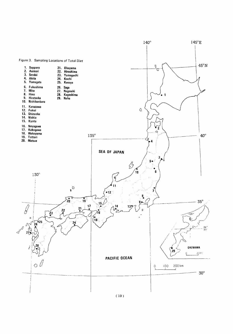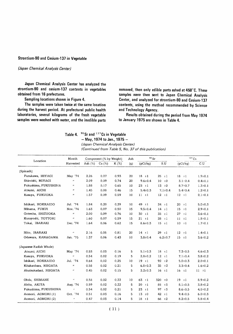#### Strontium-90 and Cesium-137 in Vegetable

#### (Japan Chemical Analysis Center)

Japan Chemical Analysis Center has analyzed the strontium-90 and cesium-137 contents in vegetables obtained from 16 prefectures.

Sampling locations shown in Figure 4.

The samples were taken twice at the same location during the harvest period. At prefectural public health laboratories, several kilograms of the fresh vegetable samples were washed with water, and the inedible parts removed, then only edible parts ashed at 450°C. These samples were then sent to Japan Chemical Analysis Center, and analyzed for strontium-90 and Cesium-137 contents, using the method recommended by Science and Technology Agency.

Results obtained during the period from May 1974 to January 1975 are shown in Table 4.

Table 4. <sup>90</sup> Sr and <sup>137</sup> Cs in Vegetable

 $-$  May, 1974 to Jan., 1975  $-$ 

(Japan Chemical Analysis Center)

(Continued from Table 5, No. 37 of this publication)

|                         | Month                      |           | Component (% by Weight) |         | Ash | $90$ Sr       |               | $137$ Cs      |               |
|-------------------------|----------------------------|-----------|-------------------------|---------|-----|---------------|---------------|---------------|---------------|
| Location                | Harvested                  | Ash $(%)$ | Ca $(%)$                | $K(\%)$ | (g) | (pCi/kg)      | S.U           | (pCi/kg)      | C.U           |
| (Spinach)               |                            |           |                         |         |     |               |               |               |               |
| Furukawa, MIYAGI        | May '74                    | 2.26      | 0.07                    | 0.93    | 20  | $18 \pm 1$    | 25<br>$\pm 1$ | $18 \pm 1$    | $1.9 \pm 0.1$ |
| Shiroishi, MIYAGI       | $\pmb{r}$                  | 2.09      | 0.09                    | 0.74    | 20  | $9.6 \pm 0.4$ | $10 + 0$      | 3.1:0.4       | $0.4 \pm 0.1$ |
| Fukushima, FUKUSHIMA    | $\boldsymbol{\mu}$         | 1.88      | 0.17                    | 0.65    | 10  | $23 \pm 1$    | $13 + 0$      | $8.7 \pm 0.7$ | $1.3 \pm 0.1$ |
| Atsumi, AICHI           | $\pmb{\mathcal{H}}$        | 1.45      | 0.08                    | 0.46    | 15  | $5.4 \pm 0.3$ | $7.1 \pm 0.4$ | $5.4 \pm 0.4$ | $1.2 \pm 0.1$ |
| Kasuya, FUKUOKA         | $^{\prime\prime}$          | 1.57      | 0.09                    | 0.59    | 10  | $11 \pm 1$    | $12 \pm 1$    | 12 t1         | $2.1 \pm 0.1$ |
| Ishikari, HOKKAIDO      | Jul. '74                   | 1.84      | 0.20                    | 0.39    | 10  | 49 $±1$       | $24 \pm 1$    | 20<br>$\pm 1$ | $5.0 \pm 0.3$ |
| Mihama, FUKUI           | Nov. '74                   | 1.63      | 0.07                    | 0.50    | 15  | $9.5 \pm 0.4$ | $14 \pm 1$    | 15<br>$\pm 1$ | $2.9 \pm 0.1$ |
| Gotenba, SHIZUOKA       | $\pmb{\mathcal{H}}$        | 2,00      | 0.09                    | 0.76    | 10  | $30 \pm 1$    | 35<br>$\pm 1$ | 27<br>$\pm 1$ | $3.6 \pm 0.1$ |
| Kurayoshi, TOTTORI      | $\boldsymbol{\mu}$         | 1.60      | 0.07                    | 0.59    | 15  | $21 + 1$      | 28<br>$\pm 1$ | $11 \pm 1$    | $1.8 \pm 0.1$ |
| Tokai, IBARAKI          | Dec. '74                   | 1.64      | 0.06                    | 0.62    | 15  | $8.6 \pm 0.3$ | $15 + 1$      | $10 \pm 1$    | $1.7 \pm 0.1$ |
| Mito, IBARAKI           | $\boldsymbol{\mu}$         | 2.16      | 0.05                    | 0.81    | 20  | $14 \pm 1$    | 29 $\pm 1$    | 12<br>$\pm 1$ | $1.4 \pm 0.1$ |
| Odawara, KANAGAWA       | Jan. '75                   | 1.37      | 0.06                    | 0.43    | 10  | $3.8 + 0.4$   | $6.2 \pm 0.7$ | 15<br>$\pm 1$ | $3.6 \pm 0.2$ |
| (Japanese Radish Whole) |                            |           |                         |         |     |               |               |               |               |
| Atsumi, AICHI           | May '74                    | 0.53      | 0.03                    | 0.16    | 5   | $5.1 \pm 0.3$ | $18 \pm 1$    | $7.3 \pm 0.5$ | $4.6 \pm 0.3$ |
| Kasuya, FUKUOKA         | $\boldsymbol{\theta}$      | 0.54      | 0.02                    | 0.19    | 5   | $2.8 \pm 0.2$ | 12<br>$\pm 1$ | $7.1 \pm 0.4$ | $3.8 \pm 0.2$ |
| Ishikari, HOKKAIDO      | Jul. '74                   | 0.64      | 0.02                    | 0.25    | 10  | $19 \pm 1$    | 92<br>$\pm 2$ | $5.0 \pm 0.3$ | $2.0 \pm 0.1$ |
| Kitakanbara, NIIGATA    | $^{\prime\prime}$          | 0.58      | 0.02                    | 0.21    | 5   | $6.8 \pm 0.3$ | 35<br>±2      | $3.3 \pm 0.4$ | $1.6 \pm 0.2$ |
| Akatsukadani, NIIGATA   | $\boldsymbol{\mathcal{U}}$ | 0.45      | 0.02                    | 0.15    | 5   | $3.2 \pm 0.3$ | $16 \pm 1$    | $16 \pm 1$    | $11 \pm 1$    |
| Ohda, SHIMANE           | $\boldsymbol{\eta}$        | 0.58      | 0.02                    | 0.22    | 10  | $63 + 1$      | 320<br>±0     | $19 \pm 1$    | $8.9 \pm 0.2$ |
| Akita, AKITA            | Aug. '74                   | 0.59      | 0.02                    | 0.22    | 5   | 20<br>$\pm 1$ | 85<br>±3      | $8.1 \pm 0.5$ | $3.8 \pm 0.2$ |
| Fukushima, FUKUSHIMA    | $\boldsymbol{\mu}$         | 0.54      | 0,02                    | 0.21    | 5   | 23 $\pm 1$    | 97<br>±3      | $8.6 \pm 0.5$ | $4.0 \pm 0.2$ |
| Aomori, AOMORI(1)       | Oct. '74                   | 0.51      | 0.03                    | 0.16    | 5   | 13<br>±0      | 42<br>$\pm 1$ | $9.4 \pm 0.5$ | $6.0 \pm 0.3$ |
| Aomori, AOMORI (2)      | $\boldsymbol{r}$           | 0.47      | 0.03                    | 0.14    | 5   | $18 \pm 1$    | $66 \pm 2$    | $8.2 \pm 0.5$ | $5.8 \pm 0.4$ |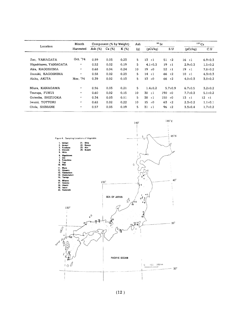|                       | Month              |            | Component (% by Weight) |         | Ash |            |               | $90$ Sr   |               | $137$ Cs         |               |  |
|-----------------------|--------------------|------------|-------------------------|---------|-----|------------|---------------|-----------|---------------|------------------|---------------|--|
| Location              | Harvested          | Ash $(\%)$ | Ca (%)                  | $K(\%)$ | (g) |            | (pCi/kg)      |           | S.U           | $(pC\hat{V}$ kg) | C.U           |  |
| Zao, YAMAGATA         | Oct. '74           | 0.59       | 0.03                    | 0.23    | 5   | 13         | $\pm 1$       |           | $51 \pm 2$    | $16 \pm 1$       | $6.9 \pm 0.3$ |  |
| Higashisawa, YAMAGATA | $^{\prime\prime}$  | 0.52       | 0.02                    | 0.19    | 5   |            | $4.1 \pm 0.3$ | 19        | $\pm 1$       | $2.9 \pm 0.3$    | $1.5 \pm 0.2$ |  |
| Aira, KAGOSHIMA       | $\mathbf{H}$       | 0.68       | 0.04                    | 0.24    | 10  |            | $19 \pm 0$    | 52        | $\pm 1$       | $19 \pm 1$       | $7.8 \pm 0.2$ |  |
| Ibusuki, KAGOSHIMA    | $\pmb{\mu}$        | 0.58       | 0.02                    | 0.23    | 5   | $14 \pm 1$ |               | 66        | ±2            | $10 \pm 1$       | $4.3 \pm 0.3$ |  |
| Akita, AKITA          | Nov. '74           | 0.39       | 0.02                    | 0.13    | 5   | 13         | $\pm 0$       |           | $66 \pm 2$    | $4.0 \pm 0.3$    | $3.0 \pm 0.2$ |  |
| Miura, KANAGAWA       | $\boldsymbol{\mu}$ | 0.56       | 0.03                    | 0.21    | 5.  |            | $1.4 + 0.2$   |           | $5.7 \pm 0.9$ | $6.7 \pm 0.5$    | $3.2 \pm 0.2$ |  |
| Tsuruga, FUKUI        | $\boldsymbol{\mu}$ | 0.60       | 0.02                    | 0.15    | 10  | $30 + 1$   |               | $190 + 0$ |               | $7.7 \pm 0.3$    | $5.1 \pm 0.2$ |  |
| Gotenba, SHIZUOKA     | $\mathbf{H}$       | 0.34       | 0.03                    | 0.11    | 5   | 38         | $\pm 1$       | 150       | ±0            | $13 \pm i$       | $12 \pm 1$    |  |
| Iwami, TOTTORI        | $^{\prime\prime}$  | 0.62       | 0.02                    | 0,22    | 10  | 15         | ±0            | 63        | ±2            | $2.3 \pm 0.2$    | $1.1 \pm 0.1$ |  |
| Ohda, SHIMANE         | $\boldsymbol{\mu}$ | 0.57       | 0.03                    | 0.19    | 5.  | 31         | $\pm 1$       | 96        | ±2            | $3.3 \pm 0.4$    | $1.7 \pm 0.2$ |  |



(12)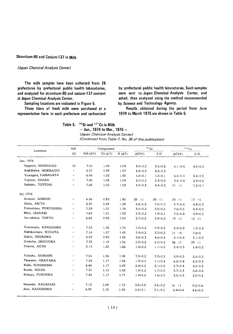#### Strontium-90 and Cesium-137 in Milk

#### (Japan Chemical Analysis Center)

The milk samples have been collected from 28 prefectures by prefectural public health laboratories, and analyzed for strontium-90 and cesium-137 content at Japan Chemical Analysis Center.

Sampling locations are indicated in Figure 5.

Three liters of fresh milk were purchased at a representative farm in each prefecture and carbonized

by prefectural public health laboratories. Such samples were sent to Japan Chemical Analysis Center, and ashed, then analyzed using the method recommended by Science and Technalogy Agency.

Results obtained during the period from June 1974 to March 1975 are shown in Table 5.

Table 5. 90Sr and 137Cs in Milk

 $-$  Jun., 1974 to Mar., 1975  $-$ (Japan Chemical Analysis Center) (Continued from Table 7, No. 36 of this publication)

| Location              | Ash                   |                | Component     |             |               | 90Sr          |               | $137$ Cs      |
|-----------------------|-----------------------|----------------|---------------|-------------|---------------|---------------|---------------|---------------|
|                       | (g)                   | Ash $(g/\ell)$ | $Ca (g/\ell)$ | $K(g/\ell)$ | $(pCi/\ell)$  | S.U           | $(pCi/\ell)$  | C.U.          |
| Jun. 1974             |                       |                |               |             |               |               |               |               |
| Sapporo, HOKKAIDO     | 10                    | 7.02           | 1.09          | 1.54        | $3.4 \pm 0.2$ | $3.1 \pm 0.2$ | $6.1 \pm 0.4$ | $4.0 \pm 0.3$ |
| Asahikawa, HOKKAIDO   | $\alpha$              | 6.57           | 0.99          | 1.57        | $4.3 \pm 0.3$ | $4.3 \pm 0.3$ |               |               |
| Yamaqata, YAMAGATA    | $\boldsymbol{\alpha}$ | 6.44           | 1.02          | 1.40        | $1.0 \pm 0.1$ | $1.0 \pm 0.1$ | $6.2 \pm 0.4$ | $4.4 \pm 0.3$ |
| Toyono, OSAKA         | $\boldsymbol{\theta}$ | 7.42           | 1.08          | 1.54        | $2.5 \pm 0.2$ | $2.3 \pm 0.2$ | $3.5 \pm 0.4$ | $2.3 \pm 0.3$ |
| Saihaku, TOTTORI      | $\boldsymbol{\mu}$    | 7.68           | 1.03          | 1,52        | $4.5 \pm 0.2$ | $4.4 \pm 0.2$ | $11 \pm 1$    | $7.2 \pm 0.7$ |
| Jul. 1974             |                       |                |               |             |               |               |               |               |
| Aomori, AOMORI        | $\pmb{\mu}$           | 6.26           | 0.83          | 1.40        | $28 + 1$      | $34 \pm 1$    | $24 \pm 1$    | $17 \pm 1$    |
| Akita, AKITA          | $\bar{\bar{B}}$       | 6.30           | 0.69          | 1.29        | $4.8 \pm 0.2$ | $7.0 \pm 0.3$ | $5.7 \pm 0.4$ | $4.4 \pm 0.3$ |
| Fukushima, FUKUSHIMA  | $\boldsymbol{n}$      | 7.59           | 1.21          | 1.76        | $3.0 \pm 0.2$ | $2.5 \pm 0.2$ | $7.6 \pm 0.5$ | $4.3 \pm 0.3$ |
| Mito, IBARAKI         | $\boldsymbol{H}$      | 7.63           | 1.51          | 1.53        | $2.9 \pm 0.2$ | $1.9 \pm 0.1$ | $7.5 \pm 0.4$ | $4.9 \pm 0.3$ |
| Izu oshima, TOKYO     | $_{ti}$               | 6.68           | 0.92          | 1.54        | $2.7 \pm 0.2$ | $2.9 \pm 0.2$ | $19 \pm 1$    | $12 + 1$      |
| Yokohama, KANAGAWA    | $\pmb{r}$             | 7.33           | 1.08          | 1.74        | $1.0 + 0.2$   | $0.9 \pm 0.2$ | $2.2 \pm 0.3$ | $1.3 \pm 0.2$ |
| Nishikanbara, NIIGATA | $\boldsymbol{r}$      | 7.16           | 1,07          | 1.45        | $3.4 \pm 0.2$ | $3.2 \pm 0.2$ | $11 \pm 0$    | $7.6 \pm 0$   |
| Hakui, ISHIKAWA       | $\boldsymbol{u}$      | 6.33           | 0.83          | 1.58        | $3.8 + 0.3$   | $4.6 \pm 0.4$ | $8.1 \pm 0.4$ | $5.1 \pm 0.3$ |
| Gotenba, SHIZUOKA     | Ħ                     | 7.23           | 1.19          | 1.56        | $5.9 \pm 0.2$ | $5.0 \pm 0.2$ | 46 $±1$       | $29 \pm 1$    |
| Toyota, AICHI         | $\boldsymbol{\mu}$    | 8.13           | 1.25          | 1,66        | $1.4 \pm 0.2$ | $1.1 \pm 0.2$ | $2.4 \pm 0.3$ | $1.4 \pm 0.2$ |
| Yatsuka, SHIMANE      | $\boldsymbol{\mu}$    | 7.05           | 1.06          | 1.38        | $3.5 \pm 0.2$ | $3.3 \pm 0.2$ | $3.9 \pm 0.3$ | $2.8 \pm 0.2$ |
| Tsuyama, OKAYAMA      | ×.                    | 7.34           | 1.17          | 1.56        | $1.3 \pm 0.2$ | $1.1 \pm 0.2$ | $6.6 \pm 0.4$ | $4.2 \pm 0.3$ |
| Kabe, HIROSHIMA       | $\boldsymbol{\mu}$    | 6.66           | 1.17          | 1.43        | $2.4 \pm 0.2$ | $2.1 \pm 0.2$ | $5.7 \pm 0.4$ | $4.0 \pm 0.3$ |
| Kochi, KOCHI          | n                     | 7.21           | 1.15          | 1.43        | $1.9 \pm 0.2$ | $1.7 \pm 0.2$ | $3.7 \pm 0.3$ | $2.6 \pm 0.2$ |
| Kasuya, FUKUOKA       | $\boldsymbol{\mu}$    | 7.42           | 1.17          | 1.77        | $1.9 + 0.2$   | $1.6 \pm 0.2$ | $3.5 \pm 0.3$ | $2.0 \pm 0.2$ |
| Nameshi, NAGASAKI     | $\boldsymbol{\theta}$ | 7.13           | 1.08          | 1,73        | $3.9 + 0.2$   | $3.6 \pm 0.2$ | $16 \pm 1$    | $9.2 \pm 0.6$ |
| Aira, KAGOSHIMA       | n.                    | 6,95           | 1.12          | 1.40        | $2.4 \pm 0.1$ | $2.1 \pm 0.1$ | $6.4 \pm 0.4$ | $4.6 \pm 0.3$ |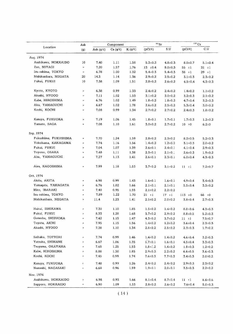|                       | Ash                   |                | Component    |             | $90$ Sr       |               | $137$ Cs                   |               |
|-----------------------|-----------------------|----------------|--------------|-------------|---------------|---------------|----------------------------|---------------|
| Location              | (g)                   | Ash $(g/\ell)$ | $Ca(g/\ell)$ | $K(g/\ell)$ | $(pCi/\ell)$  | S.U           | $(pCi/\ell)$               | C.U           |
| Aug. 1974             |                       |                |              |             |               |               |                            |               |
| Asahikawa, HOKKAIDO   | 10                    | 7.40           | 1.11         | 1.58        | $5.3 \pm 0.3$ | $4.8{\pm}0.3$ | $8.0 \pm 0.7$              | $5.1 \pm 0.4$ |
| Zao, MIYAGI           | $\boldsymbol{\mu}$    | 7.20           | 1.57         | 1.76        | $13 + 0.4$    | $8.0 \pm 0.3$ | 55 $±1$                    | $31 \pm 1$    |
| Izu oshima, TOKYO     | $\boldsymbol{H}$      | 6.78           | 1.00         | 1.32        | $5.4 \pm 0.3$ | $5.4{\pm}0.3$ | $38 + 1$                   | $29 \pm 1$    |
| Nishikanbara, NIIGATA | 20                    | 14.3           | 1.14         | 1.36        | $2.9 \pm 0.2$ | $2.5 \pm 0.2$ | $3.1 \pm 0.3$              | $2.3 \pm 0.2$ |
| Fukui, FUKUI          | 10                    | 7.38           | 1.09         | 1.51        | $2.8 \pm 0.2$ | $2.6 \pm 0.2$ | $6.5 \pm 0.4$              | $4.3 \pm 0.3$ |
| Kyoto, KYOTO          | $\pmb{r}$             | 6.38           | 0.99         | 1.33        | $2.4 \pm 0.2$ | $2.4 \pm 0.2$ | $1.4 \pm 0.2$              | $1.1 \pm 0.2$ |
| Akashi, HYOGO         | $\pmb{r}$             | 7.11           | 1.02         | 1.53        | $3.1 \pm 0.2$ | $3.0 \pm 0.2$ | $3.2 \pm 0.3$              | $2.1 \pm 0.2$ |
| Kabe, HIROSHIMA       | $\boldsymbol{H}$      | 6.76           | 1.02         | 1.49        | $1.8 \pm 0.2$ | $1.8 + 0.2$   | $4.7 \pm 0.4$              | $3.2 \pm 0.3$ |
| Abu, YAMAGUCHI        | $\boldsymbol{H}$      | 6.67           | 1.02         | 1.78        | $2.6 \pm 0.2$ | $2.5 \pm 0.2$ | $5.3{\scriptstyle \pm0.4}$ | $3.0 \pm 0.2$ |
| Kochi, KOCHI          | $\pmb{\mu}$           | 7.08           | 0.99         | 1.34        | $2.7 \pm 0.2$ | $2.7 \pm 0.2$ | $2.4 \pm 0.3$              | $1.8 \pm 0.2$ |
| Kasuya, FUKUOKA       | $\boldsymbol{t}$      | 7.19           | 1.06         | 1.45        | $1.8{\pm}0.1$ | $1.7 + 0.1$   | $1.7 \pm 0.3$              | $1.2 \pm 0.2$ |
| Yamato, SAGA          | $\pmb{\mathcal{H}}$   | 7.08           | 1.10         | 1.61        | $3.0 \pm 0.2$ | $2.7 \pm 0.2$ | $10 + 0$                   | $6.2 \pm 0$   |
| Sep. 1974             |                       |                |              |             |               |               |                            |               |
| Fukushima, FUKUSHIMA  | $\mathbf{u}$          | 7.70           | 1.24         | 1.59        | $2.8 \pm 0.2$ | $2.3 \pm 0.2$ | $8.2 \pm 0.5$              | $5.2 \pm 0.3$ |
| Yokohama, KANAGAWA    | $\boldsymbol{\mu}$    | 7.74           | 1.16         | 1.56        | $1.4 \pm 0.2$ | $1.2 \pm 0.2$ | $3.1 \pm 0.3$              | $2.0 \pm 0.2$ |
| Fukui, FUKUI          | $\boldsymbol{\theta}$ | 7.04           | 1.07         | 1.39        | $2.6 \pm 0.1$ | $2.4 \pm 0.1$ | $4.1 \pm 0.4$              | $2.9 \pm 0.3$ |
| Toyono, OSAKA         | $\boldsymbol{\eta}$   | 7.48           | 1.11         | 1.38        | $2.3 \pm 0.1$ | $2.1 \pm 0.1$ | $2.6 \pm 0.3$              | $1.9 \pm 0.2$ |
| Abu, YAMAGUCHI        | $\mathbf{u}$          | 7.27           | 1.13         | 1.41        | $2.6 \pm 0.1$ | $2.3 \pm 0.1$ | $6.0 \pm 0.4$              | $4.3 \pm 0.3$ |
| Aira, KAGOSHIMA       | $\boldsymbol{\mu}$    | 7.99           | 1.18         | 1.53        | $3.7 \pm 0.2$ | $3.1 \pm 0.2$ | $11 \pm 1$                 | $7.2 \pm 0.7$ |
| Oct. 1974             |                       |                |              |             |               |               |                            |               |
| Akita, AKITA          | $\pmb{\mu}$           | 6.98           | 0.99         | 1.43        | $1.6 \pm 0.1$ | $1.6 \pm 0.1$ | $4.9 \pm 0.4$              | $3.4 \pm 0.3$ |
| Yamagata, YAMAGATA    | $\boldsymbol{\mu}$    | 6.76           | 1.02         | 1.66        | $2.1 \pm 0.1$ | $2.1 \pm 0.1$ | $5.5 \pm 0.4$              | $3.3 \pm 0.2$ |
| Mito, IBARAKI         | $\boldsymbol{\mu}$    | 7.40           | 0.95         | 1.55        | $2.1 \pm 0.2$ | $2.2 \pm 0.2$ |                            |               |
| Izu oshima, TOKYO     | $\boldsymbol{\mu}$    | 7.89           | 1.22         | 1.70        | $21 \pm 1$    | $17 \pm 1$    | 113 $\pm 0$                | 66 $±0$       |
| Nishikanbara, NIIGATA | $\boldsymbol{\mu}$    | 11.4           | 1.23         | 1.41        | $2.5 \pm 0.2$ | $2.0 \pm 0.2$ | $3.8 + 0.4$                | $2.7 \pm 0.3$ |
| Hakui, ISHIKAWA       | $\boldsymbol{n}$      | 7,30           | 1.10         | 1.85        | $1.5 \pm 0.2$ | $1.4 \pm 0.2$ | $8.0 \pm 0.6$              | $4.3 \pm 0.3$ |
| Fukui, FUKUI          | $\boldsymbol{n}$      | 8.33           | 1.28         | 1.68        | $3.7 \pm 0.2$ | $2.9 \pm 0.2$ | $8.8 \pm 0.5$              | $5.2 \pm 0.3$ |
| Gotenba, SHIZUOKA     |                       | 7.42           | 1.15         | 1.47        | $4.3 \pm 0.2$ | $3.7 \pm 0.2$ | $11 \pm 1$                 | $7.5 \pm 0.7$ |
| Toyota, AICHI         | $\pmb{\pi}$           | 7.95           | 1.15         | 1.56        | $1.4 \pm 0.2$ | $1.2 \pm 0.2$ | $3.6 \pm 0.4$              | $2.3 \pm 0.3$ |
| Akashi, HYOGO         | $\pmb{\cdot}$         | 7.38           | 1.10         | 1.34        | $2.8 \pm 0.2$ | $2.5 \pm 0.2$ | $2.3 \pm 0.3$              | $1.7 \pm 0.2$ |
| Saihaku, TOTTORI      | $\boldsymbol{\mu}$    | 7.74           | 0.99         | 1.46        | $1.4 \pm 0.2$ | $1.4 \pm 0.2$ | $4.6 \pm 0.4$              | $3.2 \pm 0.3$ |
| Yatsuka, SHIMANE      | $\boldsymbol{n}$      | 6.67           | 1.06         | 1.35        | $1.7 \pm 0.1$ | $1.6 \pm 0.1$ | $4.5 \pm 0.4$              | $3.3 \pm 0.3$ |
| Tsuyama, OKAYAMA      | $\boldsymbol{\mu}$    | 7.65           | 1.25         | 1.53        | $1.8 \pm 0.2$ | $1.4 \pm 0.2$ | $1.8 \pm 0.3$              | $1.2 \pm 0.2$ |
| Kabe, HIROSHIMA       | $\boldsymbol{H}$      | 8.88           | 1.30         | 1.85        | $2.9 \pm 0.3$ | $2.2 \pm 0.2$ | $6.6 \pm 0.5$              | $3.6 \pm 0.3$ |
| Kochi, KOCHI          | H.                    | 7.45           | 0.99         | 1.74        | $7.6 \pm 0.3$ | $7.7 \pm 0.3$ | $3.4 \pm 0.3$              | $2.0 \pm 0.2$ |
| Kasuya, FUKUOKA       | $\boldsymbol{\alpha}$ | 7.48           | 0.99         | 1.26        | $2.4 \pm 0.2$ | $2.4 \pm 0.2$ | $2.9 \pm 0.3$              | $2.3 \pm 0.2$ |
| Nameshi, NAGASAKI     | $\pmb{\mu}$           | 6.68           | 0.96         | 1.59        | $1.9 \pm 0.1$ | $2.0 \pm 0.1$ | $3.5 \pm 0.3$              | $2.2 \pm 0.2$ |
| Nov. 1974             |                       |                |              |             |               |               |                            |               |
| Asahikawa, HOKKAIDO   | $\boldsymbol{\mu}$    | 6.98           | 0.93         | 1.66        | $8.1 \pm 0.4$ | $8.7 \pm 0.4$ | $11 \pm 1$                 | $6.6 \pm 0.6$ |
| Sapporo, HOKKAIDO     | Ħ                     | 6.90           | 1.09         | 1.53        | $2.8 \pm 0.2$ | $2.6 \pm 0.2$ | $7.6 \pm 0.4$              | $5.0 \pm 0.3$ |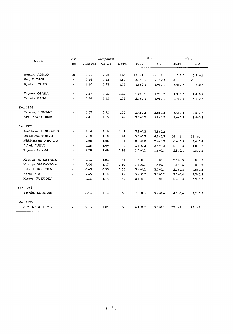|                       | Ash                 |                | Component     |             |               | $^{90}\rm{Sr}$ |               | 137Cs         |
|-----------------------|---------------------|----------------|---------------|-------------|---------------|----------------|---------------|---------------|
| Location              | (q)                 | Ash $(g/\ell)$ | Ca $(g/\ell)$ | $K(g/\ell)$ | (pCi/2)       | S.U            | $(pCi/\ell)$  | C.U           |
|                       |                     |                |               |             |               |                |               |               |
| Aomori, AOMORI        | 10                  | 7.07           | 0.92          | 1.35        | $11 \pm 1$    | $12 \pm 1$     | $8.7 \pm 0.5$ | $6.4 \pm 0.4$ |
| Zao, MIYAGI           | $\boldsymbol{\mu}$  | 7.56           | 1.22          | 1.57        | $8.7 \pm 0.4$ | $7.1 \pm 0.3$  | $31 + 1$      | $20 \pm 1$    |
| Kyoto, KYOTO          | $\boldsymbol{\mu}$  | 6.10           | 0.93          | 1.13        | $1.8 + 0.1$   | $1.9 \pm 0.1$  | $3.0 \pm 0.3$ | $2.7 \pm 0.3$ |
| Toyono, OSAKA         | $\pmb{\pi}$         | 7.27           | 1.05          | 1.32        | $2.0 \pm 0.2$ | $1.9 \pm 0.2$  | $1.9 \pm 0.3$ | $1.4 \pm 0.2$ |
| Yamato, SAGA          | $\boldsymbol{\eta}$ | 7.38           | 1.12          | 1.31        | $2.1 \pm 0.1$ | $1.9 \pm 0.1$  | $4.7 \pm 0.4$ | $3.6 \pm 0.3$ |
| Dec. 1974             |                     |                |               |             |               |                |               |               |
| Yatsuka, SHIMANE      | $\boldsymbol{\mu}$  | 6.27           | 0.92          | 1.20        | $2.4 \pm 0.2$ | $2.6 \pm 0.2$  | $5.4 \pm 0.4$ | $4.5 \pm 0.3$ |
| Aira, KAGOSHIMA       | $\pmb{H}$           | 7.41           | 1.15          | 1.47        | $3.2 \pm 0.2$ | $2.8 \pm 0.2$  | $9.6 \pm 0.5$ | $6.5 \pm 0.3$ |
| Jan. 1975             |                     |                |               |             |               |                |               |               |
| Asahikawa, HOKKAIDO   | $\pmb{r}$           | 7.14           | 1.10          | 1.41        | $3.8 \pm 0.2$ | $3.5 \pm 0.2$  |               |               |
| Izu oshima, TOKYO     | $\mathbf{r}$        | 7.18           | 1,18          | 1.44        | $5.7 \pm 0.3$ | $4.8 \pm 0.3$  | $34 \pm i$    | 24 $\pm 1$    |
| Nishikanbara, NIIGATA | $\boldsymbol{H}$    | 7.08           | 1.06          | 1.31        | $2.5 \pm 0.2$ | $2.4 \pm 0.2$  | $6.6 \pm 0.5$ | $5.0 \pm 0.4$ |
| Fukui, FUKUI          | $\boldsymbol{H}$    | 7.28           | 1.09          | 1.44        | $3.1 \pm 0.2$ | $2.8 \pm 0.2$  | $5.7 + 0.4$   | $4.0 \pm 0.3$ |
| Toyono, OSAKA         | Ħ                   | 7.29           | 1.09          | 1.36        | $1.7 \pm 0.1$ | $1.6 \pm 0.1$  | $2.5 \pm 0.3$ | $1.8 + 0.2$   |
| Hoshiya, WAKAYAMA     | $\boldsymbol{\mu}$  | 7.43           | 1.03          | 1.41        | $1.3 \pm 0.1$ | $1.3 \pm 0.1$  | $2.5 \pm 0.3$ | $1.8 + 0.2$   |
| Hoshiya, WAKAYAMA     | $\boldsymbol{n}$    | 7.44           | 1.13          | 1.50        | $1.6 \pm 0.1$ | $1.4 \pm 0.1$  | $1.8 \pm 0.3$ | $1.2 \pm 0.2$ |
| Kabe, HIROSHIMA       | $\boldsymbol{\mu}$  | 6.63           | 0.93          | 1.36        | $3.4 \pm 0.2$ | $3.7 \pm 0.2$  | $2.2 \pm 0.3$ | $1.6 \pm 0.2$ |
| Kochi, KOCHI          | $\boldsymbol{\eta}$ | 7.46           | 1.10          | 1,42        | $3.9 + 0.2$   | $3.5 \pm 0.2$  | $3.2 \pm 0.4$ | $2.3 \pm 0.3$ |
| Kasuya, FUKUOKA       | $\pmb{\varepsilon}$ | 7.36           | 1.14          | 1.37        | $2.1 \pm 0.1$ | $1.8 + 0.1$    | $5.4 \pm 0.4$ | $3.9 \pm 0.3$ |
| Feb. 1975             |                     |                |               |             |               |                |               |               |
| Yatsuka, SHIMANE      | $\boldsymbol{H}$    | 6.78           | 1.13          | 1.46        | $9.8 \pm 0.4$ | $8.7 \pm 0.4$  | $4.7 \pm 0.4$ | $3.2 \pm 0.3$ |
| Mar. 1975             |                     |                |               |             |               |                |               |               |
| Aira, KAGOSHIMA       | $\boldsymbol{\mu}$  | 7.13           | 1.04          | 1.36        | $4.1 \pm 0.2$ | $3.0 \pm 0.1$  | $37 \pm 1$    | $27 \pm 1$    |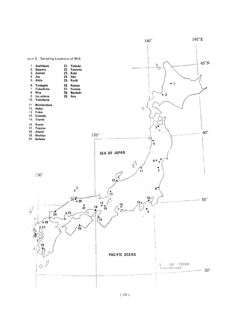

 $(16)$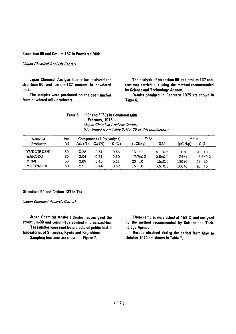#### Strontium-90 and Cesium-137 in Powdered Milk

#### (Japan Chemical Analysis Center)

Japan Chemical Analysis Center has analyzed the strontium-90 and cesium-137 content in powdered milk.

The samples were purchased on the open market from powdered milk producers.

The analysis of strontium-90 and cesium-137 content was carried out using the method recommended by Science and Technology Agency.

Results obtained in February 1975 are shown in Table 6.

| Table 6. | $90$ Sr and $137$ Cs in Powdered Milk                |
|----------|------------------------------------------------------|
|          | $-$ February, 1975 $-$                               |
|          | (Japan Chemical Analysis Center)                     |
|          | (Continued from Table 8, No. 36 of this publication) |

| Name of         | Ash |           | Component (% by weight) |         | $^{90}$ Sr     |               |           | $137C_S$      |
|-----------------|-----|-----------|-------------------------|---------|----------------|---------------|-----------|---------------|
| Producer        | (g) | Ash $(%)$ | (%)<br>Ca               | $K(\%)$ | (pCi/kg)       | S.U           | (pCi/kg)  | C.U           |
| YUKIJIRUSHI     | 30  | 3.28      | 0.31                    | 0.56    | 13.<br>$\pm 1$ | $4.1 \pm 0.2$ | 110±0     | 20.<br>±0     |
| <b>WAKODO</b>   | 30  | 3.04      | 0.31                    | 0.60    | $7.7 \pm 0.3$  | $2.5 \pm 0.1$ | $34 + 1$  | $5.6 \pm 0.2$ |
| MEIJI           | 30  | 2.89      | 0.43                    | 0.61    | 20<br>±0       | $4.6 \pm 0.1$ | 150±0     | 25.<br>±0     |
| <b>MORINAGA</b> | 30  | 2.21      | 0.44                    | 0.62    | 16<br>±0       | $3.6 \pm 0.1$ | $100\pm0$ | 16<br>±Ο      |

#### Strontium-90 and Cesium-137 in Tea

(Japan Chemical Analysis Center)

Japan Chemical Analysis Center has analyzed the strontium-90 and cesium-137 content in processed-tea. Tea samples were send by prefectural public health laboratories of Shizuoka, Kyoto and Kagoshima.

Sampling locations are shown in Figure 7.

These samples were ashed at 450°C, and analyzed by the method recommended by Science and Technology Agency.

Results obtained during the period from May to October 1974 are shown in Table 7.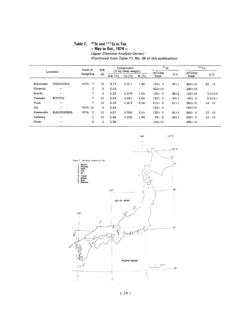#### Table 7. 90Sr and 137Cs in Tea  $-$  May to Oct., 1974  $-$ (Japan Chemical Analysis Center)

(Continued from Table 11, No. 36 of this publication)

|          |                   |                     | Ash | $90$ Sr<br>Component |        |          |              |            | $137$ Cs     |               |  |
|----------|-------------------|---------------------|-----|----------------------|--------|----------|--------------|------------|--------------|---------------|--|
| Location |                   | Date of<br>Sampling | (g) | (% by fresh weight)  |        | (pCi/kg) | S,U          | (pCi/kq)   | C.U          |               |  |
|          |                   |                     |     | Ash $(\%)$           | Ca (%) | $K(\%)$  | fresh        |            | fresh        |               |  |
| Kikukawa | <b>SHIZUOKA</b>   | 1974.<br>7          | 15  | 4.73                 | 0.311  | 1.48     | $150 \pm 0$  | $47 \pm 1$ | $480 \pm 10$ | 32 $±0$       |  |
| Shuzenji | $\boldsymbol{H}$  | 7                   | 5.  | 5.04                 |        |          | $200 \pm 10$ |            | $240 \pm 10$ |               |  |
| Handa    | $\bullet$         | 7                   | 5   | 5.32                 | 0.279  | 1.55     | $130 \pm 0$  | $48 + 2$   | $120 \pm 10$ | $7.5 \pm 0.5$ |  |
| Tsuzuki  | <b>KYOTO</b>      | 7                   | 15  | 5.83                 | 0.281  | 2.68     | $120 \pm 0$  | $44 \pm 1$ | $140+0$      | $5.3 \pm 0.1$ |  |
| Yosa     | $^{\prime\prime}$ | 7                   | 15  | 6.33                 | 0.419  | 2.08     | 210±0        | $51 \pm 1$ | $280 \pm 10$ | 14<br>±0      |  |
| Uji      | $\mathbf{r}$      | 1974.10             | 5.  | 5.82                 |        |          | $120 \pm 0$  |            | $160 \pm 10$ |               |  |
| Kawanabe | <b>KAGOSHIMA</b>  | 1974.<br>-5         | 15  | 4.87                 | 0.300  | 2.01     | $120 \pm 0$  | $41 \pm 1$ | $260 \pm 0$  | $13 + 0$      |  |
| Satsuma  | $^{1}$            | 5.                  | 15  | 5.46                 | 0.250  | 1.94     | $95 \pm 2$   | $38 + 1$   | $240 \pm 0$  | $12 \pm 0$    |  |
| Hioki    | $^{\prime\prime}$ | 5                   | 5   | 5.98                 |        |          | $150 \pm 10$ |            | $290 \pm 10$ |               |  |



(18)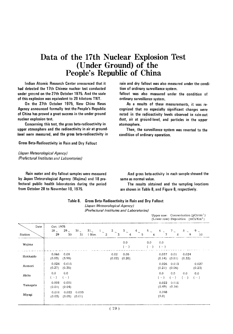## Data of the 17th Nuclear Explosion Test (Under Ground) of the People's Republic of China

Indian Atomic Research Center announced that it had detected the 17th Chinese nuclear test conducted under ground on the 27th October 1975. And the scale of this explosion was equivalent to 20 kilotons TNT.

On the 27th October 1975. New China News Agency announced formally test the People's Republic of China has proved a great success in the under ground nuclear explosion test.

Concerning this test, the gross beta-radioactivity in upper atmosphere and the radioactivity in air at groundlevel were measured, and the gross beta-radioactivity in

**Gross Beta-Radioactivity in Rain and Dry Fallout** 

(Japan Meteorological Agency) (Prefectural Institutes and Laboratories)

Rain water and dry fallout samples were measured by Japan Meteorological Agency (Wajima) and 18 prefectural public health laboratories during the period from October 28 to November 10, 1975.

rain and dry fallout was also measured under the condition of ordinary surveillance system.

fallout was also measured under the condition of ordinary surveillance system.

As a results of these measurements, it was recognized that no especially significant changes were noted in the radioactivity levels observed in rain-out dust, air at ground-level, and particles in the upper atomosphere.

Then, the surveillance system was reverted to the condition of ordinary operation.

And gross beta-activity in each sample showed the same as normal value.

The results obtained and the sampling locations are shown in Table 8, and Figure 8, respectively.

| (Prefectural Institutes and Laboratories) |                   |                       |                            |          |                    |                |           |                                |                 |                 |                 |                                                                                                                                  |
|-------------------------------------------|-------------------|-----------------------|----------------------------|----------|--------------------|----------------|-----------|--------------------------------|-----------------|-----------------|-----------------|----------------------------------------------------------------------------------------------------------------------------------|
|                                           |                   |                       |                            |          |                    |                |           |                                |                 |                 |                 |                                                                                                                                  |
| 29                                        | $29$ $\sim$<br>30 | 31                    |                            |          |                    |                |           | 6                              | 7               | $\mathcal{R}$   | 9               | 10                                                                                                                               |
|                                           |                   |                       |                            |          |                    | 0.0<br>$(-)$   |           | 0.0<br>$(\neg \neg)$           | 0.0<br>$(-)$    |                 |                 |                                                                                                                                  |
| 0.068<br>(0.03)                           | 0.08<br>(3.98)    |                       |                            |          | 0.02<br>(0.02)     | 0.05<br>(0.20) |           |                                | 0.037<br>(0.14) | 0.01<br>(0.81)  | 0.024<br>(0.32) |                                                                                                                                  |
| 0.024<br>(0.27)                           | 0.015<br>(0.35)   |                       |                            |          |                    |                |           |                                | 0.026<br>(0.21) | 0.013<br>(0.06) |                 | 0.027<br>(0.23)                                                                                                                  |
| 0.0<br>$(-)$                              | 0.0<br>$(-)$      |                       |                            |          |                    |                |           |                                | 0.0<br>$(-)$    | 0.0<br>$(-)$    | 0.0<br>$(-)$    | 0.0<br>$(-)$                                                                                                                     |
| 0.008<br>(0.01)                           | 0.001<br>(0.04)   |                       |                            |          |                    |                |           |                                | 0.022           | 0.018<br>(0.16) |                 |                                                                                                                                  |
| 0.011<br>(0.03)                           |                   | 0.003                 |                            |          |                    |                |           |                                | 0.048<br>(0.8)  |                 |                 |                                                                                                                                  |
|                                           |                   | Oct. 1975<br>$28\sim$ | 0.022<br>$(0.05)$ $(0.01)$ | $30\sim$ | $31$ $1$<br>l Nov. | $\overline{a}$ | $2\sim$ 3 | $\frac{3}{4} \sim \frac{1}{4}$ | $4\sim$ 5       |                 | (0.49)          | Upper row: Concentration ( $pCi/cm3$ )<br>(Lower row): Deposition $(mCi/Km^2)$<br>$5^{\circ}$ 6 $\sim$ 7 $\sim$<br>$8\sim 9\sim$ |

Table 8. Gross Beta-Radioactivity in Rain and Dry Fallout

(Japan Meteorological Agency)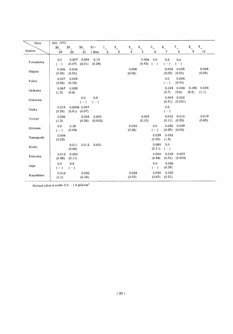| Data      | Oct. 1975       |                   |                            |                  |              |           |                 |                         |                 |                 |                  |                |                 |
|-----------|-----------------|-------------------|----------------------------|------------------|--------------|-----------|-----------------|-------------------------|-----------------|-----------------|------------------|----------------|-----------------|
|           | $28_{\sim}$     | $29_{\sim}$       | $30\degree$                | $31-$            | $1\sim$      | $2\sim$ 3 | $^3\sim$        | $4\sim$                 | $5\sim$         | $6\degree$      | $7\sim$          | $8_{\sim}$     | $9\sim$         |
| Station   | 29              | 30                | 31                         | 1 Nov.           | $\mathbf{2}$ |           | $\overline{4}$  | 5                       | 6               | 7               | 8                | 9              | 10              |
| Fukushima | 0,0<br>$(-)$    | 0.007             | 0.004<br>$(0.07)$ $(0.01)$ | 0.13<br>(0.24)   |              |           |                 | 0,006<br>$(0.42)$ $(-)$ | 0.0             | 0.0<br>$(-)$    | 0.0<br>$(-)$     |                |                 |
| Niigata   | 0.006<br>(0.08) | 0.004<br>(0.05)   |                            |                  |              |           | 0.008<br>(0.06) |                         |                 | 0.002<br>(0.03) | 0.003<br>(0.05)  |                | 0.004<br>(0.05) |
| Fukui     | 0.007<br>(0.06) | 0.009<br>(0.15)   |                            |                  |              |           |                 |                         |                 | 0.0<br>$(-)$    | 0.004<br>(0.05)  |                |                 |
| Ishikawa  | 0.067<br>(1.3)  | 0.029<br>(0.6)    |                            |                  |              |           |                 |                         |                 | 0.124<br>(2.7)  | 0.024<br>(3.6)   | 0.155<br>(8.5) | 0.024<br>(1.1)  |
| Shizuoka  |                 |                   | 0,0<br>$(-)$               | 0.0<br>$(-)$     |              |           |                 |                         |                 | 0.004<br>(0.31) | 0.002<br>(0.001) |                |                 |
| Osaka     | 0.019<br>(0.35) | $(0.01)$ $(0.07)$ | 0.0006 0.007               |                  |              |           |                 |                         |                 | 0.0<br>$(-)$    |                  |                |                 |
| Tottori   | 0.026<br>(1.2)  |                   | 0.053<br>(0.38)            | 0.005<br>(0.012) |              |           |                 | 0.003<br>(0.15)         |                 | 0.015<br>(0.11) | 0.015<br>(0.35)  |                | 0.019<br>(0.65) |
| Shimane   | 0.0<br>$(-)$    | 0.18<br>(0.04)    |                            |                  |              |           | 0.032<br>(0.26) |                         | 0.0<br>$(-)$    | 0.030<br>(0.29) | 0.039<br>(0.05)  |                |                 |
| Yamaquchi | 0.004<br>(0.02) |                   |                            |                  |              |           |                 |                         | 0.029<br>(0.25) | 0,052<br>(1.3)  |                  |                |                 |
| Kochi     |                 | 0.011<br>(0.06)   | 0.012                      | 0.031            |              |           |                 |                         | 0.080<br>(0.11) | 0.0<br>$(-)$    |                  |                |                 |
| Fukuoka   | 0.012<br>(0.48) | 0.020<br>(0.11)   |                            |                  |              |           |                 |                         | 0.050<br>(0.44) | 0.018<br>(0.31) | 0.003<br>(0.003) |                |                 |
| Saga      | 0,0<br>$(-)$    | 0,0<br>$(-)$      |                            |                  |              |           |                 |                         | 0.0<br>$(-)$    | 0.026<br>(0.29) |                  |                |                 |
| Kaqoshima | 0.016<br>(1.1)  |                   | 0.035<br>(0.18)            |                  |              |           | 0.022<br>(0.03) |                         | 0.020<br>(0.67) | 0.023<br>(0.21) |                  |                |                 |

Normal value is under  $0.0-1.0$   $pCi/cm^3$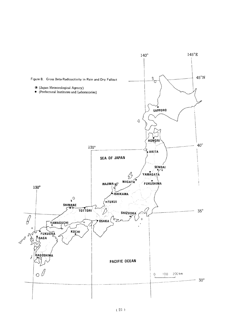

 $(21)$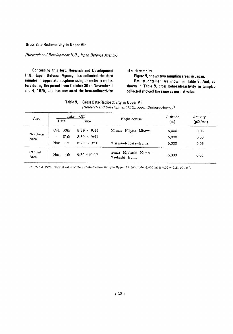#### **Gross Beta-Radioactivity in Upper Air**

#### (Research and Development H.Q., Japan Defence Agency)

Concerning this test, Research and Development H.Q., Japan Defence Agency, has collected the dust samples in upper atomosphere using aircrafts as collectors during the period from October 30 to November 1 and 4, 1975, and has measured the beta-radioactivity

of such samples.

Figure 9, shows two sampling areas in Japan. Results obtained are shown in Table 9. And, as shown in Table 9, gross beta-radioactivity in samples collected showed the same as normal value.

| Table 9. Gross Beta-Radioactivity in Upper Air        |
|-------------------------------------------------------|
| (Research and Development H.Q., Japan Defence Agency) |

| Area             |                        | $Take - Off$      |                                        | Altitude | Activity    |  |
|------------------|------------------------|-------------------|----------------------------------------|----------|-------------|--|
|                  | Data                   | Time              | Flight course                          | (m)      | $(pCi/m^3)$ |  |
|                  | Oct. 30th              | $8:39 \sim 9:55$  | Misawa -- Niigata -- Misawa            | 6,000    | 0.05        |  |
| Northern<br>Area | 31 <sub>th</sub><br>11 | $8:30 \sim 9:47$  | $^{\prime\prime}$                      | 6,000    | 0.03        |  |
|                  | Nov.<br>lst            | $8:20 \sim 9:20$  | Misawa-Niigata-Iruma                   | 6,000    | 0.05        |  |
| Central<br>Area  | 4th<br>Nov.            | $9:30 \sim 10:17$ | Iruma-Maebashi-Kamo-<br>Maebashi-Iruma | 6,000    | 0.06        |  |

In 1973 & 1974, Normal value of Gross Beta-Radioactivity in Upper Air (Altitude 6,000 m) is 0.02 ~ 2.21 pCi/m<sup>3</sup>.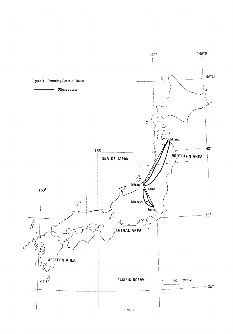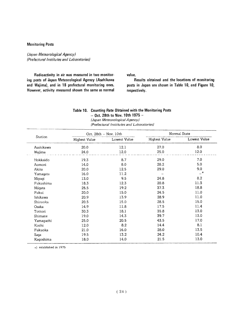#### **Monitoring Posts**

(Japan Meteorological Agency) (Prefectural Institutes and Laboratories)

Radioactivity in air was measured in two monitoring posts of Japan Meteorological Agency (Asahikawa and Wajima), and in 18 prefectural monitoring ones. However, activity measured shown the same as normal value.

Results obtained and the locations of monitoring posts in Japan are shown in Table 10, and Figure 10, respectively.

#### Table 10. Counting Rate Obtained with the Monitoring Posts - Oct. 28th to Nov. 10th 1975 -(Japan Meteorological Agency)

(Prefectural Institutes and Laboratories)

|           |               | Oct. $28th - Nov. 10th$ | Normal State  |              |  |  |
|-----------|---------------|-------------------------|---------------|--------------|--|--|
| Station   | Highest Value | Lowest Value            | Highest Value | Lowest Value |  |  |
| Asahikawa | 20.0          | 12.1                    | 27.0          | 8.0          |  |  |
| Wajima    | 24.0          | 12.0                    | 25.0          | 12.0         |  |  |
| Hokkaido  | 19.3          | 8.7                     | 29.0          | 7.0          |  |  |
| Aomori    | 14.0          | 8.0                     | 28.2          | 5.0          |  |  |
| Akita     | 20.0          | 12.5                    | 29.0          | 9.0          |  |  |
| Yamagata  | 16.0          | 11.2                    |               | $\star$      |  |  |
| Miyagi    | 13.0          | 9.5                     | 24.8          | 8.2          |  |  |
| Fukushima | 18.3          | 12.3                    | 20.8          | 11.3         |  |  |
| Niigata   | 25.5          | 19.2                    | 37.3          | 18.8         |  |  |
| Fukui     | 20.0          | 15.0                    | 24.5          | 11.0         |  |  |
| Ishikawa  | 20.9          | 13.9                    | 28.9          | 11.0         |  |  |
| Shizuoka  | 20.5          | 15.0                    | 28.5          | 15.0         |  |  |
| Osaka     | 14.9          | 11.8                    | 17.5          | 11.4         |  |  |
| Tottori   | 30.3          | 18.1                    | 35.8          | 13.0         |  |  |
| Shimane   | 19.0          | 14.3                    | 39.7          | 13.0         |  |  |
| Yamaguchi | 25.0          | 20.5                    | 43.5          | 17.0         |  |  |
| Kochi     | 12.0          | 8.2                     | 14.4          | 8.1          |  |  |
| Fukuoka   | 21.0          | 16.0                    | 28.0          | 13.5         |  |  |
| Saga      | 19.5          | 13.2                    | 24.2          | 10.4         |  |  |
| Kaqoshima | 18.0          | 14.0                    | 21.5          | 13.0         |  |  |

 $\star$ ) established in 1975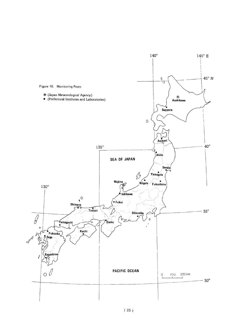